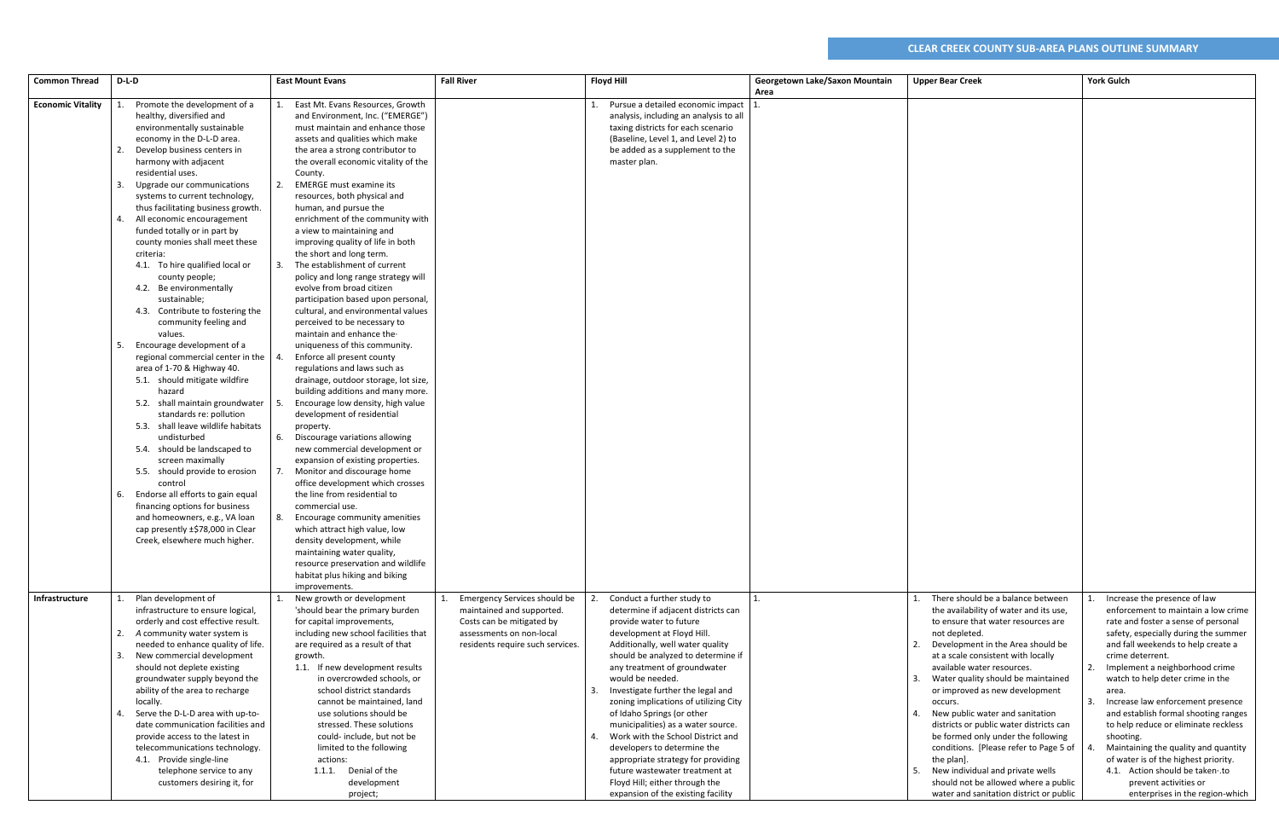| <b>Common Thread</b>     | D-L-D                                                                                                                                                                                                                                                                                                                                                                                                                                                                                                                                                                                                                                                                                                                                                                                                                                                                                                                                                                                                                                                                                                                                            | <b>East Mount Evans</b>                                                                                                                                                                                                                                                                                                                                                                                                                                                                                                                                                                                                                                                                                                                                                                                                                                                                                                                                                                                                                                                                                                                                                                                                                                                                                                                                                                                                            | <b>Fall River</b><br><b>Floyd Hill</b>                                                                                                                                                |                                                                                                                                                                                                                                                                                                                                                                                                                                                                                                                                                                                                                                      | Georgetown Lake/Saxon Mountain | <b>Upper Bear Creek</b>                                                                                                                                                                                                                                                                                                                                                                                                                                                                                                                                                                                                                            | <b>York Gulch</b>                                                                                                                                                                                                                                                                                                                                                                                                                                                                                                                                                                                                  |
|--------------------------|--------------------------------------------------------------------------------------------------------------------------------------------------------------------------------------------------------------------------------------------------------------------------------------------------------------------------------------------------------------------------------------------------------------------------------------------------------------------------------------------------------------------------------------------------------------------------------------------------------------------------------------------------------------------------------------------------------------------------------------------------------------------------------------------------------------------------------------------------------------------------------------------------------------------------------------------------------------------------------------------------------------------------------------------------------------------------------------------------------------------------------------------------|------------------------------------------------------------------------------------------------------------------------------------------------------------------------------------------------------------------------------------------------------------------------------------------------------------------------------------------------------------------------------------------------------------------------------------------------------------------------------------------------------------------------------------------------------------------------------------------------------------------------------------------------------------------------------------------------------------------------------------------------------------------------------------------------------------------------------------------------------------------------------------------------------------------------------------------------------------------------------------------------------------------------------------------------------------------------------------------------------------------------------------------------------------------------------------------------------------------------------------------------------------------------------------------------------------------------------------------------------------------------------------------------------------------------------------|---------------------------------------------------------------------------------------------------------------------------------------------------------------------------------------|--------------------------------------------------------------------------------------------------------------------------------------------------------------------------------------------------------------------------------------------------------------------------------------------------------------------------------------------------------------------------------------------------------------------------------------------------------------------------------------------------------------------------------------------------------------------------------------------------------------------------------------|--------------------------------|----------------------------------------------------------------------------------------------------------------------------------------------------------------------------------------------------------------------------------------------------------------------------------------------------------------------------------------------------------------------------------------------------------------------------------------------------------------------------------------------------------------------------------------------------------------------------------------------------------------------------------------------------|--------------------------------------------------------------------------------------------------------------------------------------------------------------------------------------------------------------------------------------------------------------------------------------------------------------------------------------------------------------------------------------------------------------------------------------------------------------------------------------------------------------------------------------------------------------------------------------------------------------------|
| <b>Economic Vitality</b> | Promote the development of a<br>healthy, diversified and<br>environmentally sustainable<br>economy in the D-L-D area.<br>Develop business centers in<br>harmony with adjacent<br>residential uses.<br>Upgrade our communications<br>systems to current technology,<br>thus facilitating business growth.<br>All economic encouragement<br>funded totally or in part by<br>county monies shall meet these<br>criteria:<br>4.1. To hire qualified local or<br>county people;<br>4.2. Be environmentally<br>sustainable;<br>4.3. Contribute to fostering the<br>community feeling and<br>values.<br>Encourage development of a<br>regional commercial center in the<br>area of 1-70 & Highway 40.<br>5.1. should mitigate wildfire<br>hazard<br>5.2. shall maintain groundwater<br>standards re: pollution<br>5.3. shall leave wildlife habitats<br>undisturbed<br>5.4. should be landscaped to<br>screen maximally<br>5.5. should provide to erosion<br>control<br>Endorse all efforts to gain equal<br>6.<br>financing options for business<br>and homeowners, e.g., VA loan<br>cap presently ±\$78,000 in Clear<br>Creek, elsewhere much higher. | East Mt. Evans Resources, Growth<br>and Environment, Inc. ("EMERGE")<br>must maintain and enhance those<br>assets and qualities which make<br>the area a strong contributor to<br>the overall economic vitality of the<br>County.<br><b>EMERGE must examine its</b><br>resources, both physical and<br>human, and pursue the<br>enrichment of the community with<br>a view to maintaining and<br>improving quality of life in both<br>the short and long term.<br>The establishment of current<br>policy and long range strategy will<br>evolve from broad citizen<br>participation based upon personal,<br>cultural, and environmental values<br>perceived to be necessary to<br>maintain and enhance the-<br>uniqueness of this community.<br>Enforce all present county<br>regulations and laws such as<br>drainage, outdoor storage, lot size,<br>building additions and many more.<br>Encourage low density, high value<br>development of residential<br>property.<br>Discourage variations allowing<br>6.<br>new commercial development or<br>expansion of existing properties.<br>Monitor and discourage home<br>office development which crosses<br>the line from residential to<br>commercial use.<br>Encourage community amenities<br>which attract high value, low<br>density development, while<br>maintaining water quality,<br>resource preservation and wildlife<br>habitat plus hiking and biking<br>improvements. |                                                                                                                                                                                       | Area<br>Pursue a detailed economic impact   1.<br>analysis, including an analysis to all<br>taxing districts for each scenario<br>(Baseline, Level 1, and Level 2) to<br>be added as a supplement to the<br>master plan.                                                                                                                                                                                                                                                                                                                                                                                                             |                                |                                                                                                                                                                                                                                                                                                                                                                                                                                                                                                                                                                                                                                                    |                                                                                                                                                                                                                                                                                                                                                                                                                                                                                                                                                                                                                    |
| Infrastructure           | Plan development of<br>infrastructure to ensure logical,<br>orderly and cost effective result.<br>A community water system is<br>needed to enhance quality of life.<br>New commercial development<br>should not deplete existing<br>groundwater supply beyond the<br>ability of the area to recharge<br>locally.<br>Serve the D-L-D area with up-to-<br>date communication facilities and<br>provide access to the latest in<br>telecommunications technology.<br>4.1. Provide single-line<br>telephone service to any<br>customers desiring it, for                                                                                                                                                                                                                                                                                                                                                                                                                                                                                                                                                                                             | New growth or development<br>'should bear the primary burden<br>for capital improvements,<br>including new school facilities that<br>are required as a result of that<br>growth.<br>1.1. If new development results<br>in overcrowded schools, or<br>school district standards<br>cannot be maintained, land<br>use solutions should be<br>stressed. These solutions<br>could-include, but not be<br>limited to the following<br>actions:<br>1.1.1. Denial of the<br>development<br>project;                                                                                                                                                                                                                                                                                                                                                                                                                                                                                                                                                                                                                                                                                                                                                                                                                                                                                                                                       | <b>Emergency Services should be</b><br>maintained and supported.<br>Costs can be mitigated by<br>assessments on non-local<br>residents require such services.<br>3.<br>$\mathbf{4}$ . | Conduct a further study to<br>1.<br>determine if adjacent districts can<br>provide water to future<br>development at Floyd Hill.<br>Additionally, well water quality<br>should be analyzed to determine if<br>any treatment of groundwater<br>would be needed.<br>Investigate further the legal and<br>zoning implications of utilizing City<br>of Idaho Springs (or other<br>municipalities) as a water source.<br>Work with the School District and<br>developers to determine the<br>appropriate strategy for providing<br>future wastewater treatment at<br>Floyd Hill; either through the<br>expansion of the existing facility |                                | There should be a balance between<br>the availability of water and its use,<br>to ensure that water resources are<br>not depleted.<br>2. Development in the Area should be<br>at a scale consistent with locally<br>available water resources.<br>Water quality should be maintained<br>3.<br>or improved as new development<br>occurs.<br>4. New public water and sanitation<br>districts or public water districts can<br>be formed only under the following<br>conditions. [Please refer to Page 5 of  <br>the plan].<br>5. New individual and private wells<br>should not be allowed where a public<br>water and sanitation district or public | Increase the presence of law<br>enforcement to maintain a low crime<br>rate and foster a sense of personal<br>safety, especially during the summer<br>and fall weekends to help create a<br>crime deterrent.<br>Implement a neighborhood crime<br>watch to help deter crime in the<br>area.<br>3.<br>Increase law enforcement presence<br>and establish formal shooting ranges<br>to help reduce or eliminate reckless<br>shooting.<br>Maintaining the quality and quantity<br>of water is of the highest priority.<br>4.1. Action should be taken .to<br>prevent activities or<br>enterprises in the region-which |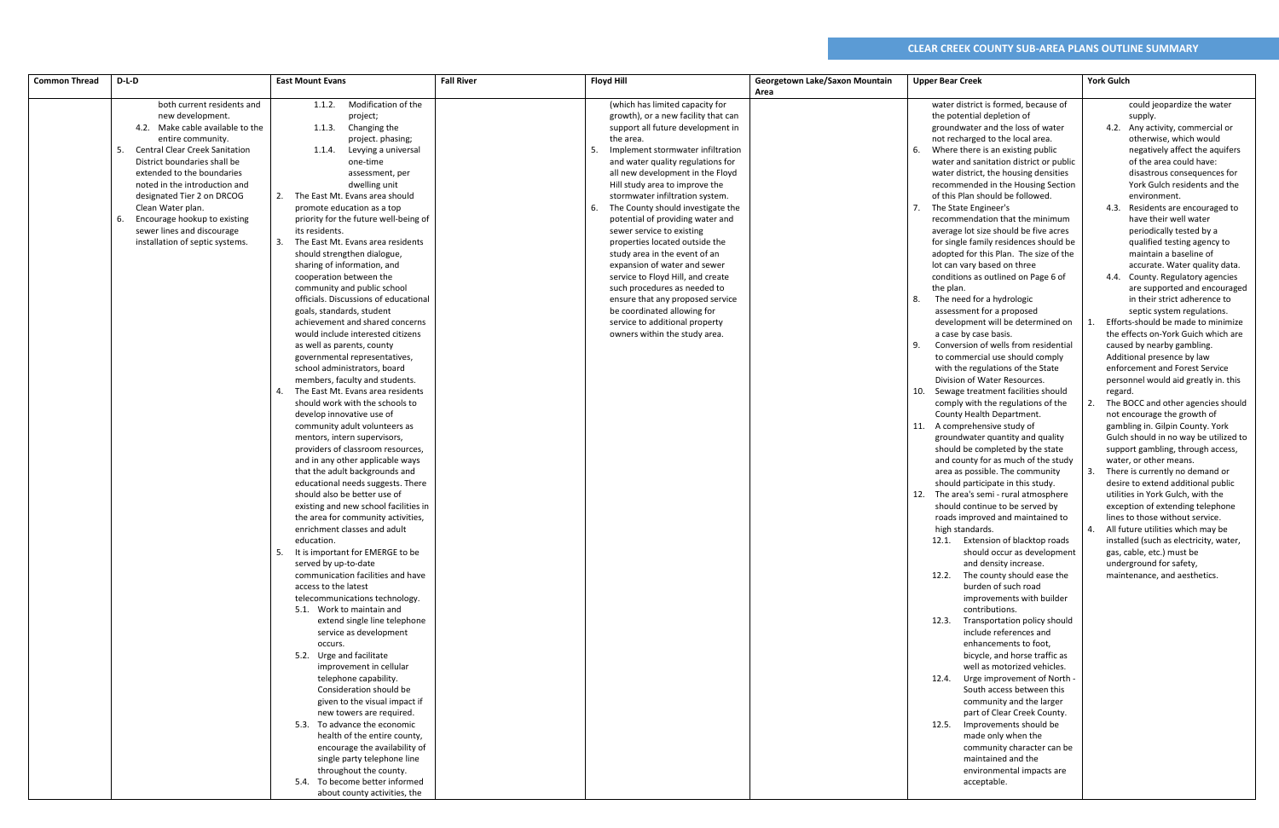| <b>Common Thread</b> | D-L-D                                                                                                                                                                                                                                                                                                                                                                                                      | <b>East Mount Evans</b>                                                                                                                                                                                                                                                                                                                                                                                                                                                                                                                                                                                                                                                                                                                                                                                                                                                                                                                                                                                                                                                                                                                                                                                                                                                                                                                                                                                                                                                                                                                                                                                                                                                                                                                                                                                                                                                                                 | <b>Fall River</b> | <b>Floyd Hill</b>                                                                                                                                                                                                                                                                                                                                                                                                                                                                                                                                                                                                                                                                                                                           | Georgetown Lake/Saxon Mountain<br>Area | <b>Upper Bear Creek</b>                                                                                                                                                                                                                                                                                                                                                                                                                                                                                                                                                                                                                                                                                                                                                                                                                                                                                                                                                                                                                                                                                                                                                                                                                                                                                                                                                                                                                                                                                                                                                                                                                                                                                                                                                                                                                                                                                                                                                                                                                  | <b>York Gulch</b>                                                                                                                                                                                                                                                                                                                                                                                                                                                                                                                                                                                                                                                                                                                                                                                                                                                                                                                                                                                                                                                                                                                                                                                                                                                                                                                                                                     |
|----------------------|------------------------------------------------------------------------------------------------------------------------------------------------------------------------------------------------------------------------------------------------------------------------------------------------------------------------------------------------------------------------------------------------------------|---------------------------------------------------------------------------------------------------------------------------------------------------------------------------------------------------------------------------------------------------------------------------------------------------------------------------------------------------------------------------------------------------------------------------------------------------------------------------------------------------------------------------------------------------------------------------------------------------------------------------------------------------------------------------------------------------------------------------------------------------------------------------------------------------------------------------------------------------------------------------------------------------------------------------------------------------------------------------------------------------------------------------------------------------------------------------------------------------------------------------------------------------------------------------------------------------------------------------------------------------------------------------------------------------------------------------------------------------------------------------------------------------------------------------------------------------------------------------------------------------------------------------------------------------------------------------------------------------------------------------------------------------------------------------------------------------------------------------------------------------------------------------------------------------------------------------------------------------------------------------------------------------------|-------------------|---------------------------------------------------------------------------------------------------------------------------------------------------------------------------------------------------------------------------------------------------------------------------------------------------------------------------------------------------------------------------------------------------------------------------------------------------------------------------------------------------------------------------------------------------------------------------------------------------------------------------------------------------------------------------------------------------------------------------------------------|----------------------------------------|------------------------------------------------------------------------------------------------------------------------------------------------------------------------------------------------------------------------------------------------------------------------------------------------------------------------------------------------------------------------------------------------------------------------------------------------------------------------------------------------------------------------------------------------------------------------------------------------------------------------------------------------------------------------------------------------------------------------------------------------------------------------------------------------------------------------------------------------------------------------------------------------------------------------------------------------------------------------------------------------------------------------------------------------------------------------------------------------------------------------------------------------------------------------------------------------------------------------------------------------------------------------------------------------------------------------------------------------------------------------------------------------------------------------------------------------------------------------------------------------------------------------------------------------------------------------------------------------------------------------------------------------------------------------------------------------------------------------------------------------------------------------------------------------------------------------------------------------------------------------------------------------------------------------------------------------------------------------------------------------------------------------------------------|---------------------------------------------------------------------------------------------------------------------------------------------------------------------------------------------------------------------------------------------------------------------------------------------------------------------------------------------------------------------------------------------------------------------------------------------------------------------------------------------------------------------------------------------------------------------------------------------------------------------------------------------------------------------------------------------------------------------------------------------------------------------------------------------------------------------------------------------------------------------------------------------------------------------------------------------------------------------------------------------------------------------------------------------------------------------------------------------------------------------------------------------------------------------------------------------------------------------------------------------------------------------------------------------------------------------------------------------------------------------------------------|
|                      | both current residents and<br>new development.<br>4.2. Make cable available to the<br>entire community.<br><b>Central Clear Creek Sanitation</b><br>District boundaries shall be<br>extended to the boundaries<br>noted in the introduction and<br>designated Tier 2 on DRCOG<br>Clean Water plan.<br>Encourage hookup to existing<br>-6.<br>sewer lines and discourage<br>installation of septic systems. | Modification of the<br>1.1.2.<br>project;<br>Changing the<br>1.1.3.<br>project. phasing;<br>Levying a universal<br>1.1.4.<br>one-time<br>assessment, per<br>dwelling unit<br>The East Mt. Evans area should<br>promote education as a top<br>priority for the future well-being of<br>its residents.<br>The East Mt. Evans area residents<br>should strengthen dialogue,<br>sharing of information, and<br>cooperation between the<br>community and public school<br>officials. Discussions of educational<br>goals, standards, student<br>achievement and shared concerns<br>would include interested citizens<br>as well as parents, county<br>governmental representatives,<br>school administrators, board<br>members, faculty and students.<br>The East Mt. Evans area residents<br>should work with the schools to<br>develop innovative use of<br>community adult volunteers as<br>mentors, intern supervisors,<br>providers of classroom resources,<br>and in any other applicable ways<br>that the adult backgrounds and<br>educational needs suggests. There<br>should also be better use of<br>existing and new school facilities in<br>the area for community activities,<br>enrichment classes and adult<br>education.<br>5. It is important for EMERGE to be<br>served by up-to-date<br>communication facilities and have<br>access to the latest<br>telecommunications technology.<br>5.1. Work to maintain and<br>extend single line telephone<br>service as development<br>occurs.<br>5.2. Urge and facilitate<br>improvement in cellular<br>telephone capability.<br>Consideration should be<br>given to the visual impact if<br>new towers are required.<br>5.3. To advance the economic<br>health of the entire county,<br>encourage the availability of<br>single party telephone line<br>throughout the county.<br>5.4. To become better informed<br>about county activities, the |                   | (which has limited capacity for<br>growth), or a new facility that can<br>support all future development in<br>the area.<br>Implement stormwater infiltration<br>5.<br>and water quality regulations for<br>all new development in the Floyd<br>Hill study area to improve the<br>stormwater infiltration system.<br>The County should investigate the<br>6.<br>potential of providing water and<br>sewer service to existing<br>properties located outside the<br>study area in the event of an<br>expansion of water and sewer<br>service to Floyd Hill, and create<br>such procedures as needed to<br>ensure that any proposed service<br>be coordinated allowing for<br>service to additional property<br>owners within the study area. |                                        | water district is formed, because of<br>the potential depletion of<br>groundwater and the loss of water<br>not recharged to the local area.<br>Where there is an existing public<br>water and sanitation district or public<br>water district, the housing densities<br>recommended in the Housing Section<br>of this Plan should be followed.<br>The State Engineer's<br>recommendation that the minimum<br>average lot size should be five acres<br>for single family residences should be<br>adopted for this Plan. The size of the<br>lot can vary based on three<br>conditions as outlined on Page 6 of<br>the plan.<br>The need for a hydrologic<br>8.<br>assessment for a proposed<br>development will be determined on<br>a case by case basis.<br>Conversion of wells from residential<br>q<br>to commercial use should comply<br>with the regulations of the State<br>Division of Water Resources.<br>10. Sewage treatment facilities should<br>comply with the regulations of the<br>County Health Department.<br>11. A comprehensive study of<br>groundwater quantity and quality<br>should be completed by the state<br>and county for as much of the study<br>area as possible. The community<br>should participate in this study.<br>12.<br>The area's semi - rural atmosphere<br>should continue to be served by<br>roads improved and maintained to<br>high standards.<br>12.1. Extension of blacktop roads<br>should occur as development<br>and density increase.<br>12.2. The county should ease the<br>burden of such road<br>improvements with builder<br>contributions.<br>12.3. Transportation policy should<br>include references and<br>enhancements to foot,<br>bicycle, and horse traffic as<br>well as motorized vehicles.<br>12.4. Urge improvement of North<br>South access between this<br>community and the larger<br>part of Clear Creek County.<br>12.5. Improvements should be<br>made only when the<br>community character can be<br>maintained and the<br>environmental impacts are<br>acceptable. | could jeopardize the water<br>supply.<br>4.2. Any activity, commercial or<br>otherwise, which would<br>negatively affect the aquifers<br>of the area could have:<br>disastrous consequences for<br>York Gulch residents and the<br>environment.<br>4.3. Residents are encouraged to<br>have their well water<br>periodically tested by a<br>qualified testing agency to<br>maintain a baseline of<br>accurate. Water quality data.<br>4.4. County. Regulatory agencies<br>are supported and encouraged<br>in their strict adherence to<br>septic system regulations.<br>Efforts-should be made to minimize<br>the effects on-York Guich which are<br>caused by nearby gambling.<br>Additional presence by law<br>enforcement and Forest Service<br>personnel would aid greatly in. this<br>regard.<br>The BOCC and other agencies should<br>not encourage the growth of<br>gambling in. Gilpin County. York<br>Gulch should in no way be utilized to<br>support gambling, through access,<br>water, or other means.<br>There is currently no demand or<br>desire to extend additional public<br>utilities in York Gulch, with the<br>exception of extending telephone<br>lines to those without service.<br>All future utilities which may be<br>4.<br>installed (such as electricity, water,<br>gas, cable, etc.) must be<br>underground for safety,<br>maintenance, and aesthetics. |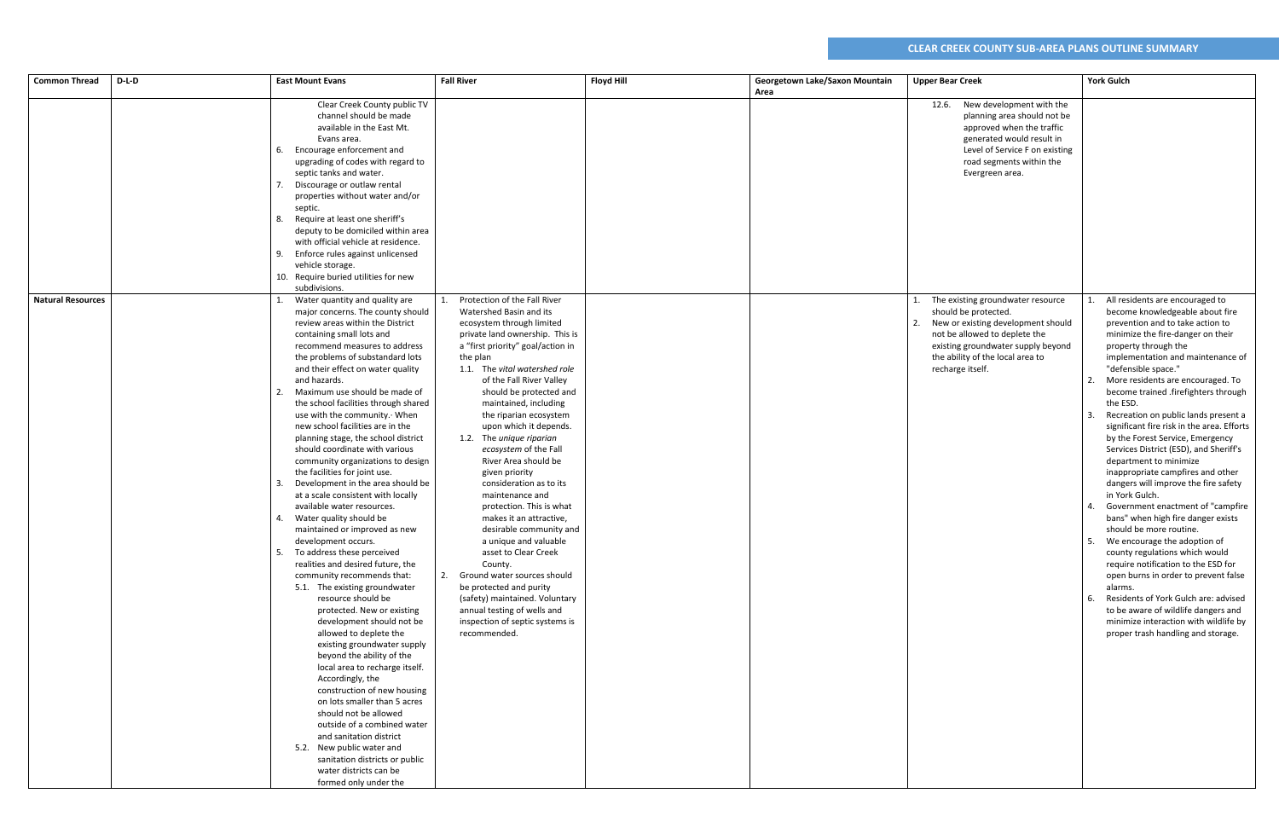| <b>Common Thread</b>     | D-L-D | <b>East Mount Evans</b>                                                                                                                                                                                                                                                                                                                                                                                                                                                                                                                                                                                                                                                                                                                                                                                                                                                                                                                                                                                                                                                                                                                                                                                                                                                                                                                                                                         | <b>Fall River</b>                                                                                                                                                                                                                                                                                                                                                                                                                                                                                                                                                                                                                                                                                                                                                                                                         | <b>Floyd Hill</b> | Georgetown Lake/Saxon Mountain | <b>Upper Bear Creek</b>                                                                                                                                                                                                        | <b>York Gulch</b>                                                                                                                                                                                                                                                                                                                                                                                                                                                                                                                                                                                                                                                                                                                                                                                                                                                                                                                                                                                                                                              |
|--------------------------|-------|-------------------------------------------------------------------------------------------------------------------------------------------------------------------------------------------------------------------------------------------------------------------------------------------------------------------------------------------------------------------------------------------------------------------------------------------------------------------------------------------------------------------------------------------------------------------------------------------------------------------------------------------------------------------------------------------------------------------------------------------------------------------------------------------------------------------------------------------------------------------------------------------------------------------------------------------------------------------------------------------------------------------------------------------------------------------------------------------------------------------------------------------------------------------------------------------------------------------------------------------------------------------------------------------------------------------------------------------------------------------------------------------------|---------------------------------------------------------------------------------------------------------------------------------------------------------------------------------------------------------------------------------------------------------------------------------------------------------------------------------------------------------------------------------------------------------------------------------------------------------------------------------------------------------------------------------------------------------------------------------------------------------------------------------------------------------------------------------------------------------------------------------------------------------------------------------------------------------------------------|-------------------|--------------------------------|--------------------------------------------------------------------------------------------------------------------------------------------------------------------------------------------------------------------------------|----------------------------------------------------------------------------------------------------------------------------------------------------------------------------------------------------------------------------------------------------------------------------------------------------------------------------------------------------------------------------------------------------------------------------------------------------------------------------------------------------------------------------------------------------------------------------------------------------------------------------------------------------------------------------------------------------------------------------------------------------------------------------------------------------------------------------------------------------------------------------------------------------------------------------------------------------------------------------------------------------------------------------------------------------------------|
|                          |       | Clear Creek County public TV<br>channel should be made<br>available in the East Mt.<br>Evans area.<br>6. Encourage enforcement and<br>upgrading of codes with regard to<br>septic tanks and water.<br>7. Discourage or outlaw rental<br>properties without water and/or<br>septic.<br>Require at least one sheriff's<br>8.<br>deputy to be domiciled within area<br>with official vehicle at residence.<br>Enforce rules against unlicensed<br>9.<br>vehicle storage.<br>10. Require buried utilities for new<br>subdivisions.                                                                                                                                                                                                                                                                                                                                                                                                                                                                                                                                                                                                                                                                                                                                                                                                                                                                  |                                                                                                                                                                                                                                                                                                                                                                                                                                                                                                                                                                                                                                                                                                                                                                                                                           |                   | Area                           | 12.6. New development with the<br>planning area should not be<br>approved when the traffic<br>generated would result in<br>Level of Service F on existing<br>road segments within the<br>Evergreen area.                       |                                                                                                                                                                                                                                                                                                                                                                                                                                                                                                                                                                                                                                                                                                                                                                                                                                                                                                                                                                                                                                                                |
| <b>Natural Resources</b> |       | Water quantity and quality are<br>major concerns. The county should<br>review areas within the District<br>containing small lots and<br>recommend measures to address<br>the problems of substandard lots<br>and their effect on water quality<br>and hazards.<br>Maximum use should be made of<br>the school facilities through shared<br>use with the community. When<br>new school facilities are in the<br>planning stage, the school district<br>should coordinate with various<br>community organizations to design<br>the facilities for joint use.<br>3. Development in the area should be<br>at a scale consistent with locally<br>available water resources.<br>Water quality should be<br>maintained or improved as new<br>development occurs.<br>5. To address these perceived<br>realities and desired future, the<br>community recommends that:<br>5.1. The existing groundwater<br>resource should be<br>protected. New or existing<br>development should not be<br>allowed to deplete the<br>existing groundwater supply<br>beyond the ability of the<br>local area to recharge itself.<br>Accordingly, the<br>construction of new housing<br>on lots smaller than 5 acres<br>should not be allowed<br>outside of a combined water<br>and sanitation district<br>5.2. New public water and<br>sanitation districts or public<br>water districts can be<br>formed only under the | Protection of the Fall River<br>Watershed Basin and its<br>ecosystem through limited<br>private land ownership. This is<br>a "first priority" goal/action in<br>the plan<br>1.1. The vital watershed role<br>of the Fall River Valley<br>should be protected and<br>maintained, including<br>the riparian ecosystem<br>upon which it depends.<br>1.2. The unique riparian<br>ecosystem of the Fall<br>River Area should be<br>given priority<br>consideration as to its<br>maintenance and<br>protection. This is what<br>makes it an attractive,<br>desirable community and<br>a unique and valuable<br>asset to Clear Creek<br>County.<br>2. Ground water sources should<br>be protected and purity<br>(safety) maintained. Voluntary<br>annual testing of wells and<br>inspection of septic systems is<br>recommended. |                   |                                | The existing groundwater resource<br>should be protected.<br>New or existing development should<br>not be allowed to deplete the<br>existing groundwater supply beyond<br>the ability of the local area to<br>recharge itself. | All residents are encouraged to<br>become knowledgeable about fire<br>prevention and to take action to<br>minimize the fire-danger on their<br>property through the<br>implementation and maintenance of<br>"defensible space."<br>More residents are encouraged. To<br>become trained .firefighters through<br>the ESD.<br>Recreation on public lands present a<br>significant fire risk in the area. Efforts<br>by the Forest Service, Emergency<br>Services District (ESD), and Sheriff's<br>department to minimize<br>inappropriate campfires and other<br>dangers will improve the fire safety<br>in York Gulch.<br>Government enactment of "campfire<br>bans" when high fire danger exists<br>should be more routine.<br>5. We encourage the adoption of<br>county regulations which would<br>require notification to the ESD for<br>open burns in order to prevent false<br>alarms.<br>Residents of York Gulch are: advised<br>6.<br>to be aware of wildlife dangers and<br>minimize interaction with wildlife by<br>proper trash handling and storage. |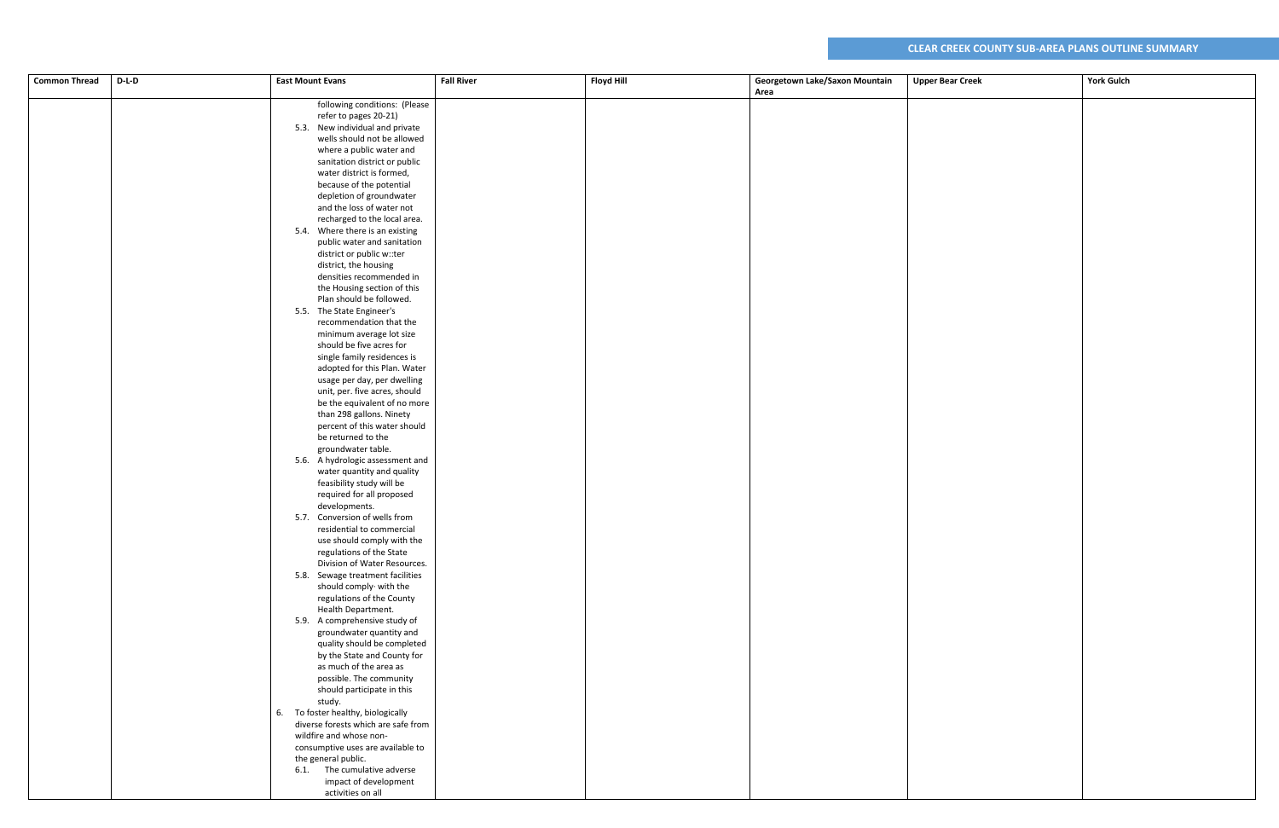| <b>Common Thread</b> | $D-L-D$ | <b>East Mount Evans</b>                                    | <b>Fall River</b> | <b>Floyd Hill</b> | Georgetown Lake/Saxon Mountain | <b>Upper Bear Creek</b> | <b>York Gulch</b> |
|----------------------|---------|------------------------------------------------------------|-------------------|-------------------|--------------------------------|-------------------------|-------------------|
|                      |         |                                                            |                   |                   | Area                           |                         |                   |
|                      |         | following conditions: (Please                              |                   |                   |                                |                         |                   |
|                      |         | refer to pages 20-21)                                      |                   |                   |                                |                         |                   |
|                      |         | 5.3. New individual and private                            |                   |                   |                                |                         |                   |
|                      |         | wells should not be allowed                                |                   |                   |                                |                         |                   |
|                      |         | where a public water and                                   |                   |                   |                                |                         |                   |
|                      |         | sanitation district or public                              |                   |                   |                                |                         |                   |
|                      |         | water district is formed,                                  |                   |                   |                                |                         |                   |
|                      |         | because of the potential                                   |                   |                   |                                |                         |                   |
|                      |         | depletion of groundwater                                   |                   |                   |                                |                         |                   |
|                      |         | and the loss of water not                                  |                   |                   |                                |                         |                   |
|                      |         | recharged to the local area.                               |                   |                   |                                |                         |                   |
|                      |         | 5.4. Where there is an existing                            |                   |                   |                                |                         |                   |
|                      |         | public water and sanitation                                |                   |                   |                                |                         |                   |
|                      |         | district or public w::ter                                  |                   |                   |                                |                         |                   |
|                      |         | district, the housing                                      |                   |                   |                                |                         |                   |
|                      |         | densities recommended in<br>the Housing section of this    |                   |                   |                                |                         |                   |
|                      |         | Plan should be followed.                                   |                   |                   |                                |                         |                   |
|                      |         | 5.5. The State Engineer's                                  |                   |                   |                                |                         |                   |
|                      |         | recommendation that the                                    |                   |                   |                                |                         |                   |
|                      |         | minimum average lot size                                   |                   |                   |                                |                         |                   |
|                      |         | should be five acres for                                   |                   |                   |                                |                         |                   |
|                      |         | single family residences is                                |                   |                   |                                |                         |                   |
|                      |         | adopted for this Plan. Water                               |                   |                   |                                |                         |                   |
|                      |         | usage per day, per dwelling                                |                   |                   |                                |                         |                   |
|                      |         | unit, per. five acres, should                              |                   |                   |                                |                         |                   |
|                      |         | be the equivalent of no more                               |                   |                   |                                |                         |                   |
|                      |         | than 298 gallons. Ninety                                   |                   |                   |                                |                         |                   |
|                      |         | percent of this water should                               |                   |                   |                                |                         |                   |
|                      |         | be returned to the                                         |                   |                   |                                |                         |                   |
|                      |         | groundwater table.                                         |                   |                   |                                |                         |                   |
|                      |         | 5.6. A hydrologic assessment and                           |                   |                   |                                |                         |                   |
|                      |         | water quantity and quality                                 |                   |                   |                                |                         |                   |
|                      |         | feasibility study will be                                  |                   |                   |                                |                         |                   |
|                      |         | required for all proposed                                  |                   |                   |                                |                         |                   |
|                      |         | developments.                                              |                   |                   |                                |                         |                   |
|                      |         | 5.7. Conversion of wells from<br>residential to commercial |                   |                   |                                |                         |                   |
|                      |         | use should comply with the                                 |                   |                   |                                |                         |                   |
|                      |         | regulations of the State                                   |                   |                   |                                |                         |                   |
|                      |         | Division of Water Resources.                               |                   |                   |                                |                         |                   |
|                      |         | 5.8. Sewage treatment facilities                           |                   |                   |                                |                         |                   |
|                      |         | should comply with the                                     |                   |                   |                                |                         |                   |
|                      |         | regulations of the County                                  |                   |                   |                                |                         |                   |
|                      |         | Health Department.                                         |                   |                   |                                |                         |                   |
|                      |         | 5.9. A comprehensive study of                              |                   |                   |                                |                         |                   |
|                      |         | groundwater quantity and                                   |                   |                   |                                |                         |                   |
|                      |         | quality should be completed                                |                   |                   |                                |                         |                   |
|                      |         | by the State and County for                                |                   |                   |                                |                         |                   |
|                      |         | as much of the area as                                     |                   |                   |                                |                         |                   |
|                      |         | possible. The community                                    |                   |                   |                                |                         |                   |
|                      |         | should participate in this                                 |                   |                   |                                |                         |                   |
|                      |         | study.                                                     |                   |                   |                                |                         |                   |
|                      |         | 6. To foster healthy, biologically                         |                   |                   |                                |                         |                   |
|                      |         | diverse forests which are safe from                        |                   |                   |                                |                         |                   |
|                      |         | wildfire and whose non-                                    |                   |                   |                                |                         |                   |
|                      |         | consumptive uses are available to<br>the general public.   |                   |                   |                                |                         |                   |
|                      |         | 6.1. The cumulative adverse                                |                   |                   |                                |                         |                   |
|                      |         | impact of development                                      |                   |                   |                                |                         |                   |
|                      |         | activities on all                                          |                   |                   |                                |                         |                   |
|                      |         |                                                            |                   |                   |                                |                         |                   |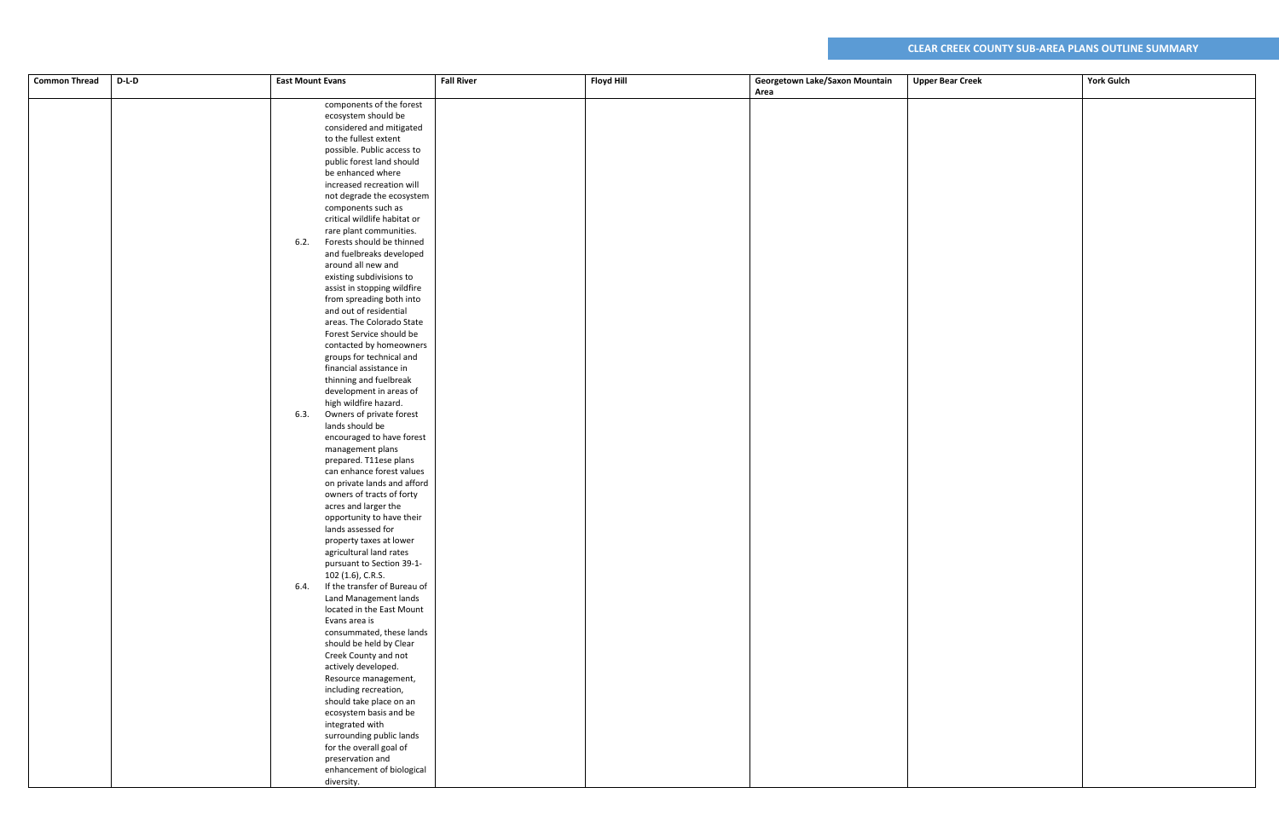| <b>Common Thread</b> | $D-L-D$ | <b>East Mount Evans</b>                              | <b>Fall River</b> | <b>Floyd Hill</b> | Georgetown Lake/Saxon Mountain | <b>Upper Bear Creek</b> | <b>York Gulch</b> |
|----------------------|---------|------------------------------------------------------|-------------------|-------------------|--------------------------------|-------------------------|-------------------|
|                      |         |                                                      |                   |                   | Area                           |                         |                   |
|                      |         | components of the forest                             |                   |                   |                                |                         |                   |
|                      |         |                                                      |                   |                   |                                |                         |                   |
|                      |         | ecosystem should be<br>considered and mitigated      |                   |                   |                                |                         |                   |
|                      |         | to the fullest extent                                |                   |                   |                                |                         |                   |
|                      |         |                                                      |                   |                   |                                |                         |                   |
|                      |         | possible. Public access to                           |                   |                   |                                |                         |                   |
|                      |         | public forest land should                            |                   |                   |                                |                         |                   |
|                      |         | be enhanced where                                    |                   |                   |                                |                         |                   |
|                      |         | increased recreation will                            |                   |                   |                                |                         |                   |
|                      |         | not degrade the ecosystem                            |                   |                   |                                |                         |                   |
|                      |         | components such as                                   |                   |                   |                                |                         |                   |
|                      |         | critical wildlife habitat or                         |                   |                   |                                |                         |                   |
|                      |         | rare plant communities.                              |                   |                   |                                |                         |                   |
|                      |         | Forests should be thinned<br>6.2.                    |                   |                   |                                |                         |                   |
|                      |         | and fuelbreaks developed                             |                   |                   |                                |                         |                   |
|                      |         | around all new and                                   |                   |                   |                                |                         |                   |
|                      |         | existing subdivisions to                             |                   |                   |                                |                         |                   |
|                      |         | assist in stopping wildfire                          |                   |                   |                                |                         |                   |
|                      |         | from spreading both into                             |                   |                   |                                |                         |                   |
|                      |         | and out of residential                               |                   |                   |                                |                         |                   |
|                      |         | areas. The Colorado State                            |                   |                   |                                |                         |                   |
|                      |         | Forest Service should be                             |                   |                   |                                |                         |                   |
|                      |         | contacted by homeowners                              |                   |                   |                                |                         |                   |
|                      |         | groups for technical and                             |                   |                   |                                |                         |                   |
|                      |         | financial assistance in                              |                   |                   |                                |                         |                   |
|                      |         | thinning and fuelbreak                               |                   |                   |                                |                         |                   |
|                      |         | development in areas of                              |                   |                   |                                |                         |                   |
|                      |         | high wildfire hazard.                                |                   |                   |                                |                         |                   |
|                      |         | Owners of private forest<br>6.3.                     |                   |                   |                                |                         |                   |
|                      |         | lands should be                                      |                   |                   |                                |                         |                   |
|                      |         | encouraged to have forest                            |                   |                   |                                |                         |                   |
|                      |         | management plans                                     |                   |                   |                                |                         |                   |
|                      |         | prepared. T11ese plans                               |                   |                   |                                |                         |                   |
|                      |         | can enhance forest values                            |                   |                   |                                |                         |                   |
|                      |         | on private lands and afford                          |                   |                   |                                |                         |                   |
|                      |         | owners of tracts of forty                            |                   |                   |                                |                         |                   |
|                      |         | acres and larger the                                 |                   |                   |                                |                         |                   |
|                      |         | opportunity to have their<br>lands assessed for      |                   |                   |                                |                         |                   |
|                      |         |                                                      |                   |                   |                                |                         |                   |
|                      |         | property taxes at lower                              |                   |                   |                                |                         |                   |
|                      |         | agricultural land rates<br>pursuant to Section 39-1- |                   |                   |                                |                         |                   |
|                      |         | 102 (1.6), C.R.S.                                    |                   |                   |                                |                         |                   |
|                      |         | If the transfer of Bureau of<br>6.4.                 |                   |                   |                                |                         |                   |
|                      |         | Land Management lands                                |                   |                   |                                |                         |                   |
|                      |         | located in the East Mount                            |                   |                   |                                |                         |                   |
|                      |         | Evans area is                                        |                   |                   |                                |                         |                   |
|                      |         | consummated, these lands                             |                   |                   |                                |                         |                   |
|                      |         | should be held by Clear                              |                   |                   |                                |                         |                   |
|                      |         | Creek County and not                                 |                   |                   |                                |                         |                   |
|                      |         | actively developed.                                  |                   |                   |                                |                         |                   |
|                      |         | Resource management,                                 |                   |                   |                                |                         |                   |
|                      |         | including recreation,                                |                   |                   |                                |                         |                   |
|                      |         | should take place on an                              |                   |                   |                                |                         |                   |
|                      |         | ecosystem basis and be                               |                   |                   |                                |                         |                   |
|                      |         | integrated with                                      |                   |                   |                                |                         |                   |
|                      |         | surrounding public lands                             |                   |                   |                                |                         |                   |
|                      |         | for the overall goal of                              |                   |                   |                                |                         |                   |
|                      |         | preservation and                                     |                   |                   |                                |                         |                   |
|                      |         | enhancement of biological                            |                   |                   |                                |                         |                   |
|                      |         |                                                      |                   |                   |                                |                         |                   |
|                      |         | diversity.                                           |                   |                   |                                |                         |                   |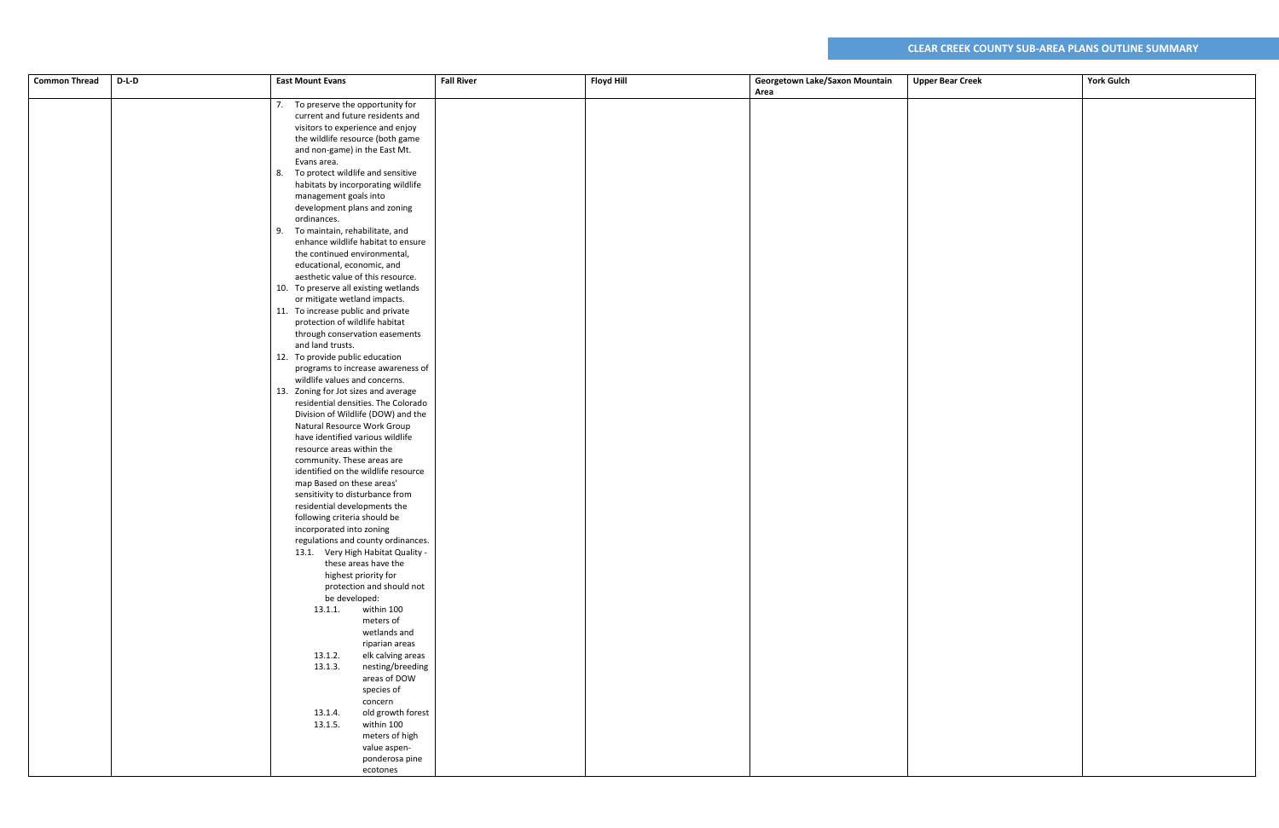| <b>Common Thread</b> | $D-L-D$ | <b>East Mount Evans</b>                                              | <b>Fall River</b> | <b>Floyd Hill</b> | Georgetown Lake/Saxon Mountain | <b>Upper Bear Creek</b> | <b>York Gulch</b> |
|----------------------|---------|----------------------------------------------------------------------|-------------------|-------------------|--------------------------------|-------------------------|-------------------|
|                      |         |                                                                      |                   |                   | Area                           |                         |                   |
|                      |         | 7. To preserve the opportunity for                                   |                   |                   |                                |                         |                   |
|                      |         | current and future residents and                                     |                   |                   |                                |                         |                   |
|                      |         | visitors to experience and enjoy                                     |                   |                   |                                |                         |                   |
|                      |         | the wildlife resource (both game                                     |                   |                   |                                |                         |                   |
|                      |         | and non-game) in the East Mt.                                        |                   |                   |                                |                         |                   |
|                      |         | Evans area.                                                          |                   |                   |                                |                         |                   |
|                      |         | 8. To protect wildlife and sensitive                                 |                   |                   |                                |                         |                   |
|                      |         | habitats by incorporating wildlife                                   |                   |                   |                                |                         |                   |
|                      |         | management goals into                                                |                   |                   |                                |                         |                   |
|                      |         | development plans and zoning                                         |                   |                   |                                |                         |                   |
|                      |         | ordinances.                                                          |                   |                   |                                |                         |                   |
|                      |         | 9. To maintain, rehabilitate, and                                    |                   |                   |                                |                         |                   |
|                      |         | enhance wildlife habitat to ensure                                   |                   |                   |                                |                         |                   |
|                      |         | the continued environmental,                                         |                   |                   |                                |                         |                   |
|                      |         | educational, economic, and                                           |                   |                   |                                |                         |                   |
|                      |         | aesthetic value of this resource.                                    |                   |                   |                                |                         |                   |
|                      |         | 10. To preserve all existing wetlands                                |                   |                   |                                |                         |                   |
|                      |         | or mitigate wetland impacts.                                         |                   |                   |                                |                         |                   |
|                      |         | 11. To increase public and private<br>protection of wildlife habitat |                   |                   |                                |                         |                   |
|                      |         | through conservation easements                                       |                   |                   |                                |                         |                   |
|                      |         | and land trusts.                                                     |                   |                   |                                |                         |                   |
|                      |         | 12. To provide public education                                      |                   |                   |                                |                         |                   |
|                      |         | programs to increase awareness of                                    |                   |                   |                                |                         |                   |
|                      |         | wildlife values and concerns.                                        |                   |                   |                                |                         |                   |
|                      |         | 13. Zoning for Jot sizes and average                                 |                   |                   |                                |                         |                   |
|                      |         | residential densities. The Colorado                                  |                   |                   |                                |                         |                   |
|                      |         | Division of Wildlife (DOW) and the                                   |                   |                   |                                |                         |                   |
|                      |         | Natural Resource Work Group                                          |                   |                   |                                |                         |                   |
|                      |         | have identified various wildlife                                     |                   |                   |                                |                         |                   |
|                      |         | resource areas within the                                            |                   |                   |                                |                         |                   |
|                      |         | community. These areas are                                           |                   |                   |                                |                         |                   |
|                      |         | identified on the wildlife resource                                  |                   |                   |                                |                         |                   |
|                      |         | map Based on these areas'                                            |                   |                   |                                |                         |                   |
|                      |         | sensitivity to disturbance from<br>residential developments the      |                   |                   |                                |                         |                   |
|                      |         | following criteria should be                                         |                   |                   |                                |                         |                   |
|                      |         | incorporated into zoning                                             |                   |                   |                                |                         |                   |
|                      |         | regulations and county ordinances.                                   |                   |                   |                                |                         |                   |
|                      |         | 13.1. Very High Habitat Quality -                                    |                   |                   |                                |                         |                   |
|                      |         | these areas have the                                                 |                   |                   |                                |                         |                   |
|                      |         | highest priority for                                                 |                   |                   |                                |                         |                   |
|                      |         | protection and should not                                            |                   |                   |                                |                         |                   |
|                      |         | be developed:                                                        |                   |                   |                                |                         |                   |
|                      |         | within 100<br>13.1.1.                                                |                   |                   |                                |                         |                   |
|                      |         | meters of                                                            |                   |                   |                                |                         |                   |
|                      |         | wetlands and                                                         |                   |                   |                                |                         |                   |
|                      |         | riparian areas                                                       |                   |                   |                                |                         |                   |
|                      |         | elk calving areas<br>13.1.2.<br>13.1.3.<br>nesting/breeding          |                   |                   |                                |                         |                   |
|                      |         | areas of DOW                                                         |                   |                   |                                |                         |                   |
|                      |         | species of                                                           |                   |                   |                                |                         |                   |
|                      |         | concern                                                              |                   |                   |                                |                         |                   |
|                      |         | old growth forest<br>13.1.4.                                         |                   |                   |                                |                         |                   |
|                      |         | 13.1.5.<br>within 100                                                |                   |                   |                                |                         |                   |
|                      |         | meters of high                                                       |                   |                   |                                |                         |                   |
|                      |         | value aspen-                                                         |                   |                   |                                |                         |                   |
|                      |         | ponderosa pine                                                       |                   |                   |                                |                         |                   |
|                      |         | ecotones                                                             |                   |                   |                                |                         |                   |
|                      |         |                                                                      |                   |                   |                                |                         |                   |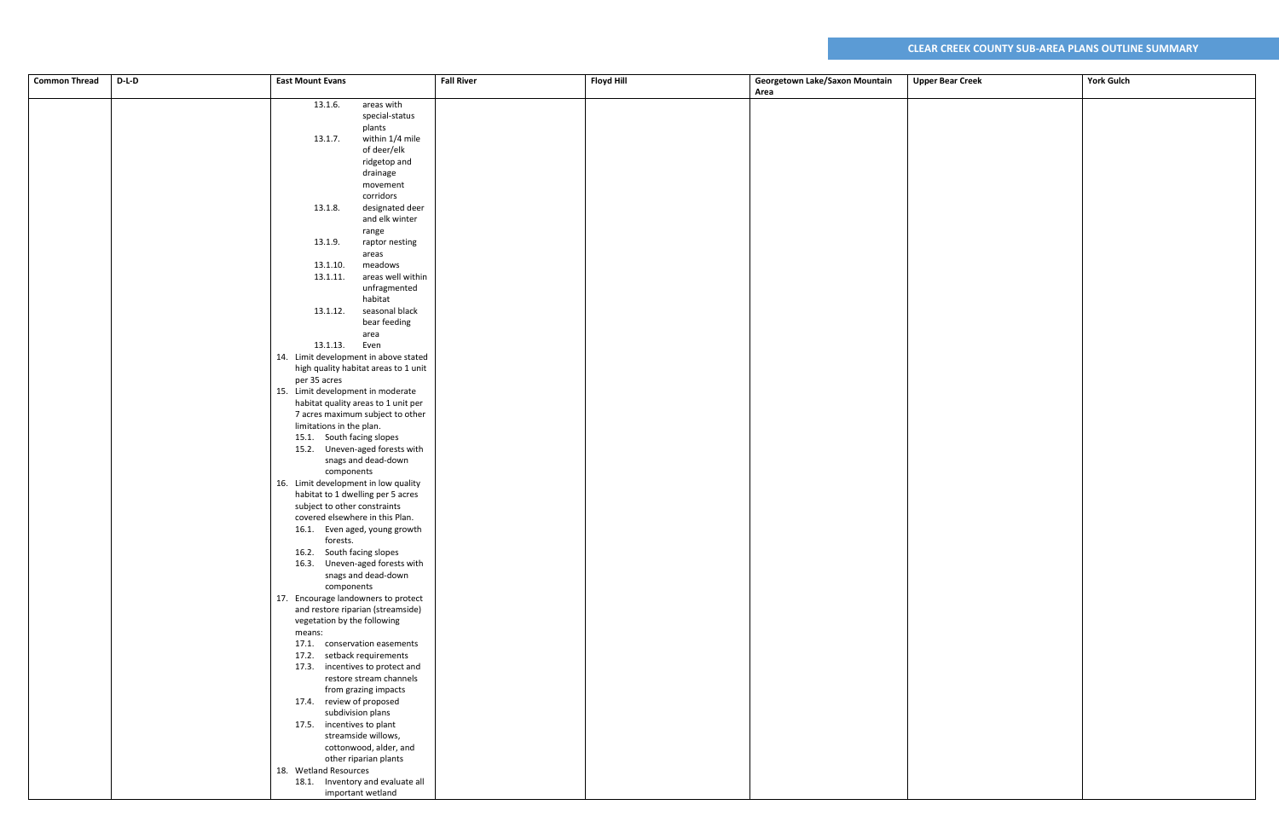| Area<br>13.1.6.<br>areas with<br>special-status<br>plants<br>within 1/4 mile<br>13.1.7.<br>of deer/elk<br>ridgetop and<br>drainage<br>movement<br>corridors<br>designated deer<br>13.1.8.<br>and elk winter<br>range<br>13.1.9.<br>raptor nesting<br>areas<br>meadows<br>13.1.10.<br>areas well within<br>13.1.11.<br>unfragmented<br>habitat<br>seasonal black<br>13.1.12.<br>bear feeding<br>area<br>13.1.13. Even<br>14. Limit development in above stated<br>high quality habitat areas to 1 unit<br>per 35 acres<br>15. Limit development in moderate<br>habitat quality areas to 1 unit per<br>7 acres maximum subject to other<br>limitations in the plan.<br>15.1. South facing slopes<br>15.2. Uneven-aged forests with<br>snags and dead-down<br>components<br>16. Limit development in low quality<br>habitat to 1 dwelling per 5 acres<br>subject to other constraints<br>covered elsewhere in this Plan.<br>16.1. Even aged, young growth<br>forests.<br>16.2. South facing slopes<br>16.3. Uneven-aged forests with<br>snags and dead-down<br>components<br>17. Encourage landowners to protect<br>and restore riparian (streamside)<br>vegetation by the following<br>means:<br>17.1. conservation easements<br>17.2. setback requirements<br>17.3. incentives to protect and<br>restore stream channels<br>from grazing impacts<br>17.4. review of proposed<br>subdivision plans<br>17.5. incentives to plant<br>streamside willows,<br>cottonwood, alder, and<br>other riparian plants<br>18. Wetland Resources<br>18.1. Inventory and evaluate all<br>important wetland | <b>Common Thread</b> | $D-L-D$ | <b>East Mount Evans</b> | <b>Fall River</b> | <b>Floyd Hill</b> | Georgetown Lake/Saxon Mountain<br><b>Upper Bear Creek</b> | <b>York Gulch</b> |
|-------------------------------------------------------------------------------------------------------------------------------------------------------------------------------------------------------------------------------------------------------------------------------------------------------------------------------------------------------------------------------------------------------------------------------------------------------------------------------------------------------------------------------------------------------------------------------------------------------------------------------------------------------------------------------------------------------------------------------------------------------------------------------------------------------------------------------------------------------------------------------------------------------------------------------------------------------------------------------------------------------------------------------------------------------------------------------------------------------------------------------------------------------------------------------------------------------------------------------------------------------------------------------------------------------------------------------------------------------------------------------------------------------------------------------------------------------------------------------------------------------------------------------------------------------------------------------------------|----------------------|---------|-------------------------|-------------------|-------------------|-----------------------------------------------------------|-------------------|
|                                                                                                                                                                                                                                                                                                                                                                                                                                                                                                                                                                                                                                                                                                                                                                                                                                                                                                                                                                                                                                                                                                                                                                                                                                                                                                                                                                                                                                                                                                                                                                                           |                      |         |                         |                   |                   |                                                           |                   |
|                                                                                                                                                                                                                                                                                                                                                                                                                                                                                                                                                                                                                                                                                                                                                                                                                                                                                                                                                                                                                                                                                                                                                                                                                                                                                                                                                                                                                                                                                                                                                                                           |                      |         |                         |                   |                   |                                                           |                   |
|                                                                                                                                                                                                                                                                                                                                                                                                                                                                                                                                                                                                                                                                                                                                                                                                                                                                                                                                                                                                                                                                                                                                                                                                                                                                                                                                                                                                                                                                                                                                                                                           |                      |         |                         |                   |                   |                                                           |                   |
|                                                                                                                                                                                                                                                                                                                                                                                                                                                                                                                                                                                                                                                                                                                                                                                                                                                                                                                                                                                                                                                                                                                                                                                                                                                                                                                                                                                                                                                                                                                                                                                           |                      |         |                         |                   |                   |                                                           |                   |
|                                                                                                                                                                                                                                                                                                                                                                                                                                                                                                                                                                                                                                                                                                                                                                                                                                                                                                                                                                                                                                                                                                                                                                                                                                                                                                                                                                                                                                                                                                                                                                                           |                      |         |                         |                   |                   |                                                           |                   |
|                                                                                                                                                                                                                                                                                                                                                                                                                                                                                                                                                                                                                                                                                                                                                                                                                                                                                                                                                                                                                                                                                                                                                                                                                                                                                                                                                                                                                                                                                                                                                                                           |                      |         |                         |                   |                   |                                                           |                   |
|                                                                                                                                                                                                                                                                                                                                                                                                                                                                                                                                                                                                                                                                                                                                                                                                                                                                                                                                                                                                                                                                                                                                                                                                                                                                                                                                                                                                                                                                                                                                                                                           |                      |         |                         |                   |                   |                                                           |                   |
|                                                                                                                                                                                                                                                                                                                                                                                                                                                                                                                                                                                                                                                                                                                                                                                                                                                                                                                                                                                                                                                                                                                                                                                                                                                                                                                                                                                                                                                                                                                                                                                           |                      |         |                         |                   |                   |                                                           |                   |
|                                                                                                                                                                                                                                                                                                                                                                                                                                                                                                                                                                                                                                                                                                                                                                                                                                                                                                                                                                                                                                                                                                                                                                                                                                                                                                                                                                                                                                                                                                                                                                                           |                      |         |                         |                   |                   |                                                           |                   |
|                                                                                                                                                                                                                                                                                                                                                                                                                                                                                                                                                                                                                                                                                                                                                                                                                                                                                                                                                                                                                                                                                                                                                                                                                                                                                                                                                                                                                                                                                                                                                                                           |                      |         |                         |                   |                   |                                                           |                   |
|                                                                                                                                                                                                                                                                                                                                                                                                                                                                                                                                                                                                                                                                                                                                                                                                                                                                                                                                                                                                                                                                                                                                                                                                                                                                                                                                                                                                                                                                                                                                                                                           |                      |         |                         |                   |                   |                                                           |                   |
|                                                                                                                                                                                                                                                                                                                                                                                                                                                                                                                                                                                                                                                                                                                                                                                                                                                                                                                                                                                                                                                                                                                                                                                                                                                                                                                                                                                                                                                                                                                                                                                           |                      |         |                         |                   |                   |                                                           |                   |
|                                                                                                                                                                                                                                                                                                                                                                                                                                                                                                                                                                                                                                                                                                                                                                                                                                                                                                                                                                                                                                                                                                                                                                                                                                                                                                                                                                                                                                                                                                                                                                                           |                      |         |                         |                   |                   |                                                           |                   |
|                                                                                                                                                                                                                                                                                                                                                                                                                                                                                                                                                                                                                                                                                                                                                                                                                                                                                                                                                                                                                                                                                                                                                                                                                                                                                                                                                                                                                                                                                                                                                                                           |                      |         |                         |                   |                   |                                                           |                   |
|                                                                                                                                                                                                                                                                                                                                                                                                                                                                                                                                                                                                                                                                                                                                                                                                                                                                                                                                                                                                                                                                                                                                                                                                                                                                                                                                                                                                                                                                                                                                                                                           |                      |         |                         |                   |                   |                                                           |                   |
|                                                                                                                                                                                                                                                                                                                                                                                                                                                                                                                                                                                                                                                                                                                                                                                                                                                                                                                                                                                                                                                                                                                                                                                                                                                                                                                                                                                                                                                                                                                                                                                           |                      |         |                         |                   |                   |                                                           |                   |
|                                                                                                                                                                                                                                                                                                                                                                                                                                                                                                                                                                                                                                                                                                                                                                                                                                                                                                                                                                                                                                                                                                                                                                                                                                                                                                                                                                                                                                                                                                                                                                                           |                      |         |                         |                   |                   |                                                           |                   |
|                                                                                                                                                                                                                                                                                                                                                                                                                                                                                                                                                                                                                                                                                                                                                                                                                                                                                                                                                                                                                                                                                                                                                                                                                                                                                                                                                                                                                                                                                                                                                                                           |                      |         |                         |                   |                   |                                                           |                   |
|                                                                                                                                                                                                                                                                                                                                                                                                                                                                                                                                                                                                                                                                                                                                                                                                                                                                                                                                                                                                                                                                                                                                                                                                                                                                                                                                                                                                                                                                                                                                                                                           |                      |         |                         |                   |                   |                                                           |                   |
|                                                                                                                                                                                                                                                                                                                                                                                                                                                                                                                                                                                                                                                                                                                                                                                                                                                                                                                                                                                                                                                                                                                                                                                                                                                                                                                                                                                                                                                                                                                                                                                           |                      |         |                         |                   |                   |                                                           |                   |
|                                                                                                                                                                                                                                                                                                                                                                                                                                                                                                                                                                                                                                                                                                                                                                                                                                                                                                                                                                                                                                                                                                                                                                                                                                                                                                                                                                                                                                                                                                                                                                                           |                      |         |                         |                   |                   |                                                           |                   |
|                                                                                                                                                                                                                                                                                                                                                                                                                                                                                                                                                                                                                                                                                                                                                                                                                                                                                                                                                                                                                                                                                                                                                                                                                                                                                                                                                                                                                                                                                                                                                                                           |                      |         |                         |                   |                   |                                                           |                   |
|                                                                                                                                                                                                                                                                                                                                                                                                                                                                                                                                                                                                                                                                                                                                                                                                                                                                                                                                                                                                                                                                                                                                                                                                                                                                                                                                                                                                                                                                                                                                                                                           |                      |         |                         |                   |                   |                                                           |                   |
|                                                                                                                                                                                                                                                                                                                                                                                                                                                                                                                                                                                                                                                                                                                                                                                                                                                                                                                                                                                                                                                                                                                                                                                                                                                                                                                                                                                                                                                                                                                                                                                           |                      |         |                         |                   |                   |                                                           |                   |
|                                                                                                                                                                                                                                                                                                                                                                                                                                                                                                                                                                                                                                                                                                                                                                                                                                                                                                                                                                                                                                                                                                                                                                                                                                                                                                                                                                                                                                                                                                                                                                                           |                      |         |                         |                   |                   |                                                           |                   |
|                                                                                                                                                                                                                                                                                                                                                                                                                                                                                                                                                                                                                                                                                                                                                                                                                                                                                                                                                                                                                                                                                                                                                                                                                                                                                                                                                                                                                                                                                                                                                                                           |                      |         |                         |                   |                   |                                                           |                   |
|                                                                                                                                                                                                                                                                                                                                                                                                                                                                                                                                                                                                                                                                                                                                                                                                                                                                                                                                                                                                                                                                                                                                                                                                                                                                                                                                                                                                                                                                                                                                                                                           |                      |         |                         |                   |                   |                                                           |                   |
|                                                                                                                                                                                                                                                                                                                                                                                                                                                                                                                                                                                                                                                                                                                                                                                                                                                                                                                                                                                                                                                                                                                                                                                                                                                                                                                                                                                                                                                                                                                                                                                           |                      |         |                         |                   |                   |                                                           |                   |
|                                                                                                                                                                                                                                                                                                                                                                                                                                                                                                                                                                                                                                                                                                                                                                                                                                                                                                                                                                                                                                                                                                                                                                                                                                                                                                                                                                                                                                                                                                                                                                                           |                      |         |                         |                   |                   |                                                           |                   |
|                                                                                                                                                                                                                                                                                                                                                                                                                                                                                                                                                                                                                                                                                                                                                                                                                                                                                                                                                                                                                                                                                                                                                                                                                                                                                                                                                                                                                                                                                                                                                                                           |                      |         |                         |                   |                   |                                                           |                   |
|                                                                                                                                                                                                                                                                                                                                                                                                                                                                                                                                                                                                                                                                                                                                                                                                                                                                                                                                                                                                                                                                                                                                                                                                                                                                                                                                                                                                                                                                                                                                                                                           |                      |         |                         |                   |                   |                                                           |                   |
|                                                                                                                                                                                                                                                                                                                                                                                                                                                                                                                                                                                                                                                                                                                                                                                                                                                                                                                                                                                                                                                                                                                                                                                                                                                                                                                                                                                                                                                                                                                                                                                           |                      |         |                         |                   |                   |                                                           |                   |
|                                                                                                                                                                                                                                                                                                                                                                                                                                                                                                                                                                                                                                                                                                                                                                                                                                                                                                                                                                                                                                                                                                                                                                                                                                                                                                                                                                                                                                                                                                                                                                                           |                      |         |                         |                   |                   |                                                           |                   |
|                                                                                                                                                                                                                                                                                                                                                                                                                                                                                                                                                                                                                                                                                                                                                                                                                                                                                                                                                                                                                                                                                                                                                                                                                                                                                                                                                                                                                                                                                                                                                                                           |                      |         |                         |                   |                   |                                                           |                   |
|                                                                                                                                                                                                                                                                                                                                                                                                                                                                                                                                                                                                                                                                                                                                                                                                                                                                                                                                                                                                                                                                                                                                                                                                                                                                                                                                                                                                                                                                                                                                                                                           |                      |         |                         |                   |                   |                                                           |                   |
|                                                                                                                                                                                                                                                                                                                                                                                                                                                                                                                                                                                                                                                                                                                                                                                                                                                                                                                                                                                                                                                                                                                                                                                                                                                                                                                                                                                                                                                                                                                                                                                           |                      |         |                         |                   |                   |                                                           |                   |
|                                                                                                                                                                                                                                                                                                                                                                                                                                                                                                                                                                                                                                                                                                                                                                                                                                                                                                                                                                                                                                                                                                                                                                                                                                                                                                                                                                                                                                                                                                                                                                                           |                      |         |                         |                   |                   |                                                           |                   |
|                                                                                                                                                                                                                                                                                                                                                                                                                                                                                                                                                                                                                                                                                                                                                                                                                                                                                                                                                                                                                                                                                                                                                                                                                                                                                                                                                                                                                                                                                                                                                                                           |                      |         |                         |                   |                   |                                                           |                   |
|                                                                                                                                                                                                                                                                                                                                                                                                                                                                                                                                                                                                                                                                                                                                                                                                                                                                                                                                                                                                                                                                                                                                                                                                                                                                                                                                                                                                                                                                                                                                                                                           |                      |         |                         |                   |                   |                                                           |                   |
|                                                                                                                                                                                                                                                                                                                                                                                                                                                                                                                                                                                                                                                                                                                                                                                                                                                                                                                                                                                                                                                                                                                                                                                                                                                                                                                                                                                                                                                                                                                                                                                           |                      |         |                         |                   |                   |                                                           |                   |
|                                                                                                                                                                                                                                                                                                                                                                                                                                                                                                                                                                                                                                                                                                                                                                                                                                                                                                                                                                                                                                                                                                                                                                                                                                                                                                                                                                                                                                                                                                                                                                                           |                      |         |                         |                   |                   |                                                           |                   |
|                                                                                                                                                                                                                                                                                                                                                                                                                                                                                                                                                                                                                                                                                                                                                                                                                                                                                                                                                                                                                                                                                                                                                                                                                                                                                                                                                                                                                                                                                                                                                                                           |                      |         |                         |                   |                   |                                                           |                   |
|                                                                                                                                                                                                                                                                                                                                                                                                                                                                                                                                                                                                                                                                                                                                                                                                                                                                                                                                                                                                                                                                                                                                                                                                                                                                                                                                                                                                                                                                                                                                                                                           |                      |         |                         |                   |                   |                                                           |                   |
|                                                                                                                                                                                                                                                                                                                                                                                                                                                                                                                                                                                                                                                                                                                                                                                                                                                                                                                                                                                                                                                                                                                                                                                                                                                                                                                                                                                                                                                                                                                                                                                           |                      |         |                         |                   |                   |                                                           |                   |
|                                                                                                                                                                                                                                                                                                                                                                                                                                                                                                                                                                                                                                                                                                                                                                                                                                                                                                                                                                                                                                                                                                                                                                                                                                                                                                                                                                                                                                                                                                                                                                                           |                      |         |                         |                   |                   |                                                           |                   |
|                                                                                                                                                                                                                                                                                                                                                                                                                                                                                                                                                                                                                                                                                                                                                                                                                                                                                                                                                                                                                                                                                                                                                                                                                                                                                                                                                                                                                                                                                                                                                                                           |                      |         |                         |                   |                   |                                                           |                   |
|                                                                                                                                                                                                                                                                                                                                                                                                                                                                                                                                                                                                                                                                                                                                                                                                                                                                                                                                                                                                                                                                                                                                                                                                                                                                                                                                                                                                                                                                                                                                                                                           |                      |         |                         |                   |                   |                                                           |                   |
|                                                                                                                                                                                                                                                                                                                                                                                                                                                                                                                                                                                                                                                                                                                                                                                                                                                                                                                                                                                                                                                                                                                                                                                                                                                                                                                                                                                                                                                                                                                                                                                           |                      |         |                         |                   |                   |                                                           |                   |
|                                                                                                                                                                                                                                                                                                                                                                                                                                                                                                                                                                                                                                                                                                                                                                                                                                                                                                                                                                                                                                                                                                                                                                                                                                                                                                                                                                                                                                                                                                                                                                                           |                      |         |                         |                   |                   |                                                           |                   |
|                                                                                                                                                                                                                                                                                                                                                                                                                                                                                                                                                                                                                                                                                                                                                                                                                                                                                                                                                                                                                                                                                                                                                                                                                                                                                                                                                                                                                                                                                                                                                                                           |                      |         |                         |                   |                   |                                                           |                   |
|                                                                                                                                                                                                                                                                                                                                                                                                                                                                                                                                                                                                                                                                                                                                                                                                                                                                                                                                                                                                                                                                                                                                                                                                                                                                                                                                                                                                                                                                                                                                                                                           |                      |         |                         |                   |                   |                                                           |                   |
|                                                                                                                                                                                                                                                                                                                                                                                                                                                                                                                                                                                                                                                                                                                                                                                                                                                                                                                                                                                                                                                                                                                                                                                                                                                                                                                                                                                                                                                                                                                                                                                           |                      |         |                         |                   |                   |                                                           |                   |
|                                                                                                                                                                                                                                                                                                                                                                                                                                                                                                                                                                                                                                                                                                                                                                                                                                                                                                                                                                                                                                                                                                                                                                                                                                                                                                                                                                                                                                                                                                                                                                                           |                      |         |                         |                   |                   |                                                           |                   |
|                                                                                                                                                                                                                                                                                                                                                                                                                                                                                                                                                                                                                                                                                                                                                                                                                                                                                                                                                                                                                                                                                                                                                                                                                                                                                                                                                                                                                                                                                                                                                                                           |                      |         |                         |                   |                   |                                                           |                   |
|                                                                                                                                                                                                                                                                                                                                                                                                                                                                                                                                                                                                                                                                                                                                                                                                                                                                                                                                                                                                                                                                                                                                                                                                                                                                                                                                                                                                                                                                                                                                                                                           |                      |         |                         |                   |                   |                                                           |                   |
|                                                                                                                                                                                                                                                                                                                                                                                                                                                                                                                                                                                                                                                                                                                                                                                                                                                                                                                                                                                                                                                                                                                                                                                                                                                                                                                                                                                                                                                                                                                                                                                           |                      |         |                         |                   |                   |                                                           |                   |
|                                                                                                                                                                                                                                                                                                                                                                                                                                                                                                                                                                                                                                                                                                                                                                                                                                                                                                                                                                                                                                                                                                                                                                                                                                                                                                                                                                                                                                                                                                                                                                                           |                      |         |                         |                   |                   |                                                           |                   |
|                                                                                                                                                                                                                                                                                                                                                                                                                                                                                                                                                                                                                                                                                                                                                                                                                                                                                                                                                                                                                                                                                                                                                                                                                                                                                                                                                                                                                                                                                                                                                                                           |                      |         |                         |                   |                   |                                                           |                   |
|                                                                                                                                                                                                                                                                                                                                                                                                                                                                                                                                                                                                                                                                                                                                                                                                                                                                                                                                                                                                                                                                                                                                                                                                                                                                                                                                                                                                                                                                                                                                                                                           |                      |         |                         |                   |                   |                                                           |                   |
|                                                                                                                                                                                                                                                                                                                                                                                                                                                                                                                                                                                                                                                                                                                                                                                                                                                                                                                                                                                                                                                                                                                                                                                                                                                                                                                                                                                                                                                                                                                                                                                           |                      |         |                         |                   |                   |                                                           |                   |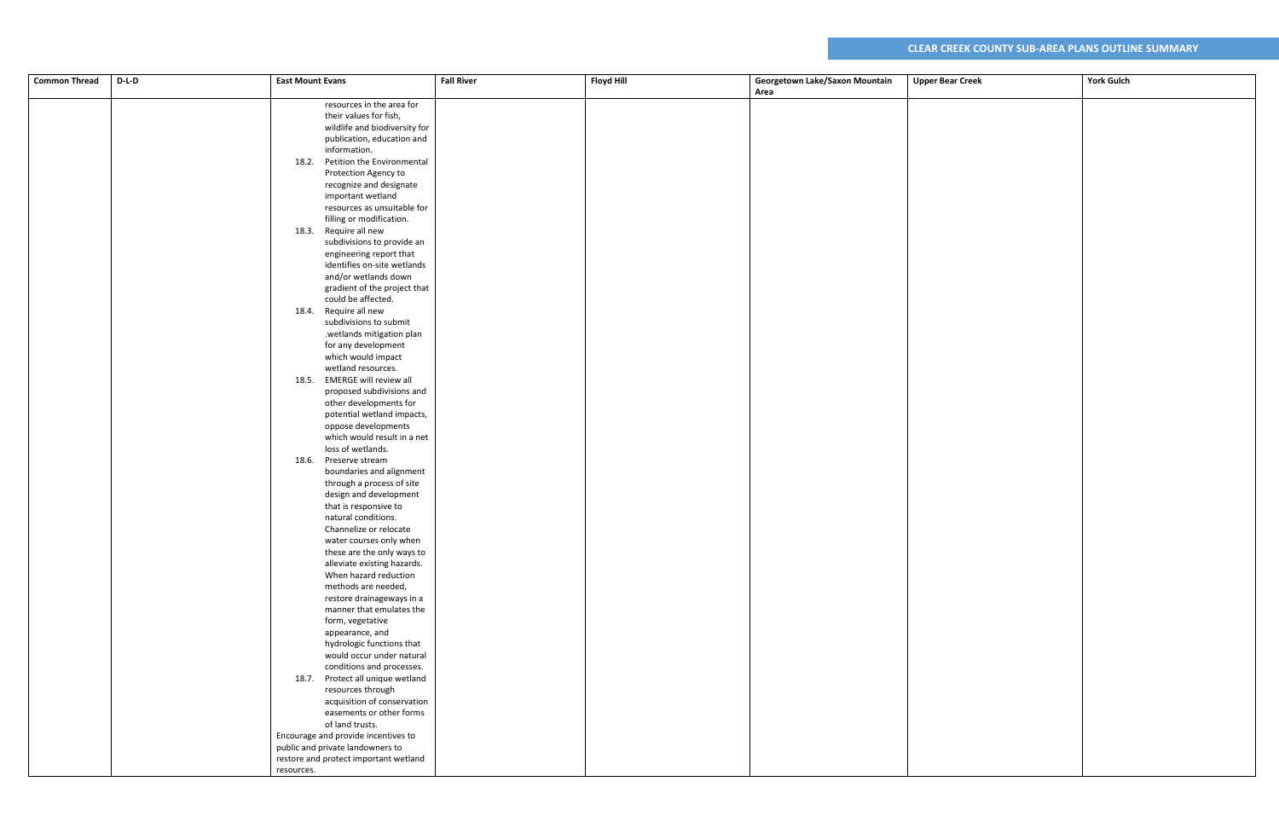| $D-L-D$<br><b>Common Thread</b> | <b>East Mount Evans</b>                             | <b>Fall River</b> | <b>Floyd Hill</b> | Georgetown Lake/Saxon Mountain | <b>Upper Bear Creek</b> | <b>York Gulch</b> |
|---------------------------------|-----------------------------------------------------|-------------------|-------------------|--------------------------------|-------------------------|-------------------|
|                                 |                                                     |                   |                   | Area                           |                         |                   |
|                                 | resources in the area for                           |                   |                   |                                |                         |                   |
|                                 | their values for fish,                              |                   |                   |                                |                         |                   |
|                                 | wildlife and biodiversity for                       |                   |                   |                                |                         |                   |
|                                 | publication, education and                          |                   |                   |                                |                         |                   |
|                                 | information.                                        |                   |                   |                                |                         |                   |
|                                 | 18.2. Petition the Environmental                    |                   |                   |                                |                         |                   |
|                                 | Protection Agency to                                |                   |                   |                                |                         |                   |
|                                 | recognize and designate                             |                   |                   |                                |                         |                   |
|                                 | important wetland                                   |                   |                   |                                |                         |                   |
|                                 | resources as unsuitable for                         |                   |                   |                                |                         |                   |
|                                 | filling or modification.                            |                   |                   |                                |                         |                   |
|                                 | 18.3. Require all new                               |                   |                   |                                |                         |                   |
|                                 | subdivisions to provide an                          |                   |                   |                                |                         |                   |
|                                 | engineering report that                             |                   |                   |                                |                         |                   |
|                                 | identifies on-site wetlands                         |                   |                   |                                |                         |                   |
|                                 | and/or wetlands down                                |                   |                   |                                |                         |                   |
|                                 | gradient of the project that                        |                   |                   |                                |                         |                   |
|                                 | could be affected.                                  |                   |                   |                                |                         |                   |
|                                 | 18.4. Require all new                               |                   |                   |                                |                         |                   |
|                                 | subdivisions to submit                              |                   |                   |                                |                         |                   |
|                                 | .wetlands mitigation plan                           |                   |                   |                                |                         |                   |
|                                 | for any development                                 |                   |                   |                                |                         |                   |
|                                 | which would impact                                  |                   |                   |                                |                         |                   |
|                                 | wetland resources.<br>18.5. EMERGE will review all  |                   |                   |                                |                         |                   |
|                                 |                                                     |                   |                   |                                |                         |                   |
|                                 | proposed subdivisions and<br>other developments for |                   |                   |                                |                         |                   |
|                                 | potential wetland impacts,                          |                   |                   |                                |                         |                   |
|                                 | oppose developments                                 |                   |                   |                                |                         |                   |
|                                 | which would result in a net                         |                   |                   |                                |                         |                   |
|                                 | loss of wetlands.                                   |                   |                   |                                |                         |                   |
|                                 | 18.6. Preserve stream                               |                   |                   |                                |                         |                   |
|                                 | boundaries and alignment                            |                   |                   |                                |                         |                   |
|                                 | through a process of site                           |                   |                   |                                |                         |                   |
|                                 | design and development                              |                   |                   |                                |                         |                   |
|                                 | that is responsive to                               |                   |                   |                                |                         |                   |
|                                 | natural conditions.                                 |                   |                   |                                |                         |                   |
|                                 | Channelize or relocate                              |                   |                   |                                |                         |                   |
|                                 | water courses only when                             |                   |                   |                                |                         |                   |
|                                 | these are the only ways to                          |                   |                   |                                |                         |                   |
|                                 | alleviate existing hazards.                         |                   |                   |                                |                         |                   |
|                                 | When hazard reduction                               |                   |                   |                                |                         |                   |
|                                 | methods are needed,                                 |                   |                   |                                |                         |                   |
|                                 | restore drainageways in a                           |                   |                   |                                |                         |                   |
|                                 | manner that emulates the                            |                   |                   |                                |                         |                   |
|                                 | form, vegetative                                    |                   |                   |                                |                         |                   |
|                                 | appearance, and                                     |                   |                   |                                |                         |                   |
|                                 | hydrologic functions that                           |                   |                   |                                |                         |                   |
|                                 | would occur under natural                           |                   |                   |                                |                         |                   |
|                                 | conditions and processes.                           |                   |                   |                                |                         |                   |
|                                 | 18.7. Protect all unique wetland                    |                   |                   |                                |                         |                   |
|                                 | resources through<br>acquisition of conservation    |                   |                   |                                |                         |                   |
|                                 | easements or other forms                            |                   |                   |                                |                         |                   |
|                                 | of land trusts.                                     |                   |                   |                                |                         |                   |
|                                 | Encourage and provide incentives to                 |                   |                   |                                |                         |                   |
|                                 | public and private landowners to                    |                   |                   |                                |                         |                   |
|                                 | restore and protect important wetland               |                   |                   |                                |                         |                   |
|                                 | resources.                                          |                   |                   |                                |                         |                   |
|                                 |                                                     |                   |                   |                                |                         |                   |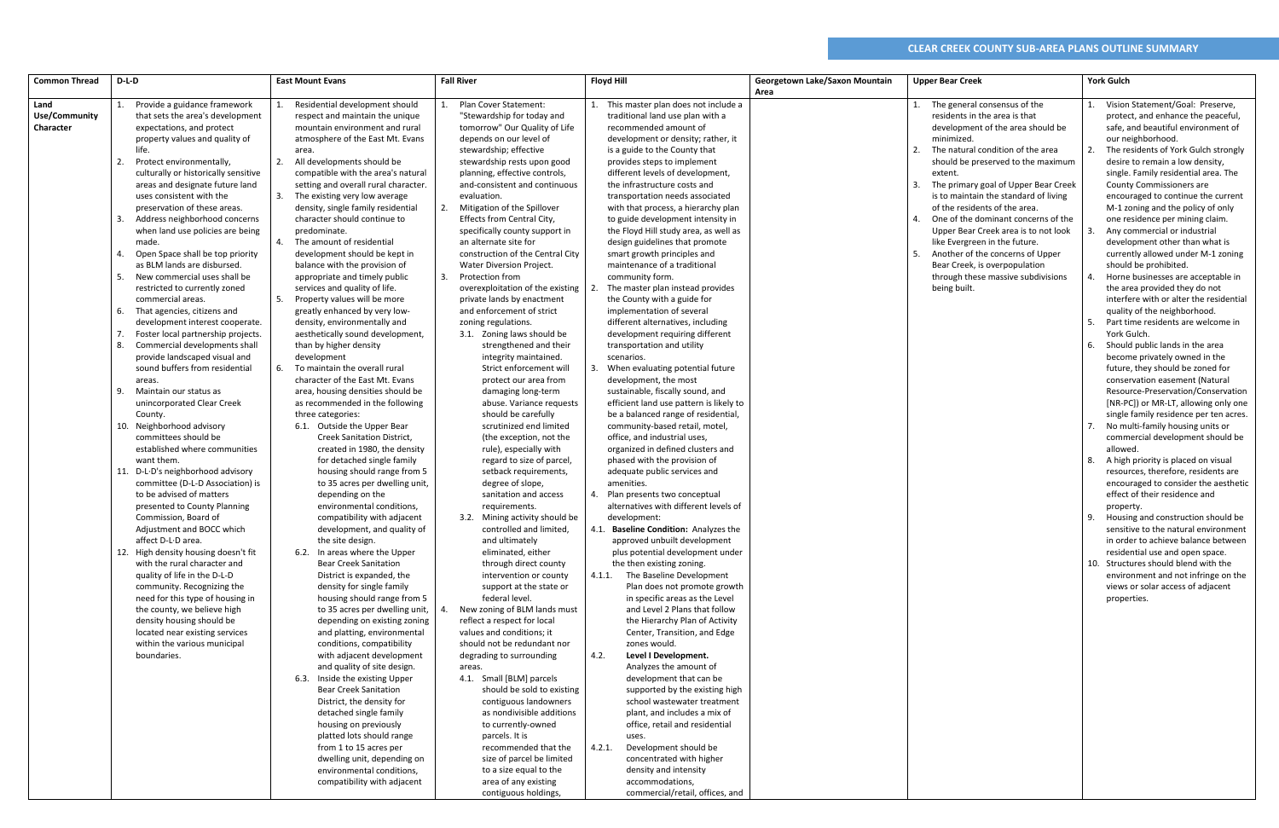|                      | D-L-D                                  |                                      | <b>Fall River</b>                  |                                         |                                |                                         | <b>York Gulch</b>                          |
|----------------------|----------------------------------------|--------------------------------------|------------------------------------|-----------------------------------------|--------------------------------|-----------------------------------------|--------------------------------------------|
| <b>Common Thread</b> |                                        | <b>East Mount Evans</b>              |                                    | <b>Floyd Hill</b>                       | Georgetown Lake/Saxon Mountain | <b>Upper Bear Creek</b>                 |                                            |
| Land                 | Provide a guidance framework           | Residential development should       | <b>Plan Cover Statement:</b>       | This master plan does not include a     | Area                           | 1. The general consensus of the         | Vision Statement/Goal: Preserve,<br>1.     |
|                      |                                        | 1.                                   |                                    |                                         |                                |                                         |                                            |
| <b>Use/Community</b> | that sets the area's development       | respect and maintain the unique      | "Stewardship for today and         | traditional land use plan with a        |                                | residents in the area is that           | protect, and enhance the peaceful,         |
| Character            | expectations, and protect              | mountain environment and rural       | tomorrow" Our Quality of Life      | recommended amount of                   |                                | development of the area should be       | safe, and beautiful environment of         |
|                      | property values and quality of         | atmosphere of the East Mt. Evans     | depends on our level of            | development or density; rather, it      |                                | minimized.                              | our neighborhood.                          |
|                      | life.                                  | area.                                | stewardship; effective             | is a guide to the County that           |                                | The natural condition of the area<br>2. | The residents of York Gulch strongly<br>2. |
|                      | 2.<br>Protect environmentally,         | 2. All developments should be        | stewardship rests upon good        | provides steps to implement             |                                | should be preserved to the maximum      | desire to remain a low density,            |
|                      | culturally or historically sensitive   | compatible with the area's natural   | planning, effective controls,      | different levels of development,        |                                | extent.                                 | single. Family residential area. The       |
|                      | areas and designate future land        | setting and overall rural character. | and-consistent and continuous      | the infrastructure costs and            |                                | The primary goal of Upper Bear Creek    | <b>County Commissioners are</b>            |
|                      | uses consistent with the               | The existing very low average        | evaluation.                        | transportation needs associated         |                                | is to maintain the standard of living   | encouraged to continue the current         |
|                      | preservation of these areas.           | density, single family residential   | Mitigation of the Spillover        | with that process, a hierarchy plan     |                                | of the residents of the area.           | M-1 zoning and the policy of only          |
|                      | Address neighborhood concerns<br>3.    | character should continue to         | Effects from Central City,         | to guide development intensity in       |                                | One of the dominant concerns of the     | one residence per mining claim.            |
|                      | when land use policies are being       | predominate.                         | specifically county support in     | the Floyd Hill study area, as well as   |                                | Upper Bear Creek area is to not look    | Any commercial or industrial               |
|                      | made.                                  | The amount of residential            | an alternate site for              | design guidelines that promote          |                                | like Evergreen in the future.           | development other than what is             |
|                      | Open Space shall be top priority<br>4. | development should be kept in        | construction of the Central City   | smart growth principles and             |                                | Another of the concerns of Upper        | currently allowed under M-1 zoning         |
|                      | as BLM lands are disbursed.            | balance with the provision of        | <b>Water Diversion Project.</b>    | maintenance of a traditional            |                                | Bear Creek, is overpopulation           | should be prohibited.                      |
|                      | New commercial uses shall be<br>5.     | appropriate and timely public        | Protection from                    | community form.                         |                                | through these massive subdivisions      | Horne businesses are acceptable in         |
|                      | restricted to currently zoned          | services and quality of life.        | overexploitation of the existing   | The master plan instead provides        |                                | being built.                            | the area provided they do not              |
|                      | commercial areas.                      | 5. Property values will be more      | private lands by enactment         | the County with a guide for             |                                |                                         | interfere with or alter the residential    |
|                      | That agencies, citizens and<br>6.      | greatly enhanced by very low-        | and enforcement of strict          | implementation of several               |                                |                                         | quality of the neighborhood.               |
|                      | development interest cooperate.        | density, environmentally and         | zoning regulations.                | different alternatives, including       |                                |                                         | .5.<br>Part time residents are welcome in  |
|                      | Foster local partnership projects.     | aesthetically sound development,     | 3.1. Zoning laws should be         | development requiring different         |                                |                                         | York Gulch.                                |
|                      | Commercial developments shall<br>8.    | than by higher density               | strengthened and their             | transportation and utility              |                                |                                         | 6.<br>Should public lands in the area      |
|                      | provide landscaped visual and          | development                          | integrity maintained.              | scenarios.                              |                                |                                         | become privately owned in the              |
|                      | sound buffers from residential         | 6. To maintain the overall rural     | Strict enforcement will            | When evaluating potential future        |                                |                                         | future, they should be zoned for           |
|                      | areas.                                 | character of the East Mt. Evans      | protect our area from              | development, the most                   |                                |                                         | conservation easement (Natural             |
|                      | Maintain our status as<br>9.           | area, housing densities should be    | damaging long-term                 | sustainable, fiscally sound, and        |                                |                                         | Resource-Preservation/Conservation         |
|                      | unincorporated Clear Creek             | as recommended in the following      | abuse. Variance requests           | efficient land use pattern is likely to |                                |                                         | [NR-PC]) or MR-LT, allowing only one       |
|                      | County.                                | three categories:                    | should be carefully                | be a balanced range of residential,     |                                |                                         | single family residence per ten acres.     |
|                      | 10. Neighborhood advisory              | 6.1. Outside the Upper Bear          | scrutinized end limited            | community-based retail, motel,          |                                |                                         | No multi-family housing units or           |
|                      | committees should be                   | <b>Creek Sanitation District,</b>    | (the exception, not the            | office, and industrial uses,            |                                |                                         | commercial development should be           |
|                      | established where communities          | created in 1980, the density         | rule), especially with             | organized in defined clusters and       |                                |                                         | allowed.                                   |
|                      | want them.                             | for detached single family           | regard to size of parcel,          | phased with the provision of            |                                |                                         | A high priority is placed on visual<br>8.  |
|                      | 11. D-L-D's neighborhood advisory      | housing should range from 5          | setback requirements,              | adequate public services and            |                                |                                         | resources, therefore, residents are        |
|                      | committee (D-L-D Association) is       | to 35 acres per dwelling unit,       | degree of slope,                   | amenities.                              |                                |                                         | encouraged to consider the aesthetic       |
|                      | to be advised of matters               | depending on the                     | sanitation and access              | 4. Plan presents two conceptual         |                                |                                         | effect of their residence and              |
|                      | presented to County Planning           | environmental conditions,            | requirements.                      | alternatives with different levels of   |                                |                                         | property.                                  |
|                      | Commission, Board of                   | compatibility with adjacent          | 3.2. Mining activity should be     | development:                            |                                |                                         | Housing and construction should be         |
|                      | Adjustment and BOCC which              | development, and quality of          | controlled and limited.            | 4.1. Baseline Condition: Analyzes the   |                                |                                         | sensitive to the natural environment       |
|                      | affect D-L·D area.                     | the site design.                     | and ultimately                     | approved unbuilt development            |                                |                                         | in order to achieve balance between        |
|                      | 12. High density housing doesn't fit   | 6.2. In areas where the Upper        | eliminated, either                 | plus potential development under        |                                |                                         | residential use and open space.            |
|                      | with the rural character and           | <b>Bear Creek Sanitation</b>         | through direct county              | the then existing zoning.               |                                |                                         | 10. Structures should blend with the       |
|                      | quality of life in the D-L-D           | District is expanded, the            | intervention or county             | The Baseline Development<br>4.1.1.      |                                |                                         | environment and not infringe on the        |
|                      | community. Recognizing the             | density for single family            | support at the state or            | Plan does not promote growth            |                                |                                         | views or solar access of adjacent          |
|                      | need for this type of housing in       | housing should range from 5          | federal level.                     | in specific areas as the Level          |                                |                                         | properties.                                |
|                      | the county, we believe high            | to 35 acres per dwelling unit,       | New zoning of BLM lands must       | and Level 2 Plans that follow           |                                |                                         |                                            |
|                      | density housing should be              | depending on existing zoning         | reflect a respect for local        | the Hierarchy Plan of Activity          |                                |                                         |                                            |
|                      | located near existing services         | and platting, environmental          | values and conditions; it          | Center, Transition, and Edge            |                                |                                         |                                            |
|                      | within the various municipal           | conditions, compatibility            | should not be redundant nor        | zones would.                            |                                |                                         |                                            |
|                      | boundaries.                            | with adjacent development            | degrading to surrounding           | 4.2.<br>Level I Development.            |                                |                                         |                                            |
|                      |                                        | and quality of site design.          |                                    | Analyzes the amount of                  |                                |                                         |                                            |
|                      |                                        | 6.3. Inside the existing Upper       | areas.<br>4.1. Small [BLM] parcels | development that can be                 |                                |                                         |                                            |
|                      |                                        | <b>Bear Creek Sanitation</b>         | should be sold to existing         | supported by the existing high          |                                |                                         |                                            |
|                      |                                        | District, the density for            | contiguous landowners              | school wastewater treatment             |                                |                                         |                                            |
|                      |                                        | detached single family               | as nondivisible additions          | plant, and includes a mix of            |                                |                                         |                                            |
|                      |                                        |                                      |                                    |                                         |                                |                                         |                                            |
|                      |                                        | housing on previously                | to currently-owned                 | office, retail and residential          |                                |                                         |                                            |
|                      |                                        | platted lots should range            | parcels. It is                     | uses.                                   |                                |                                         |                                            |
|                      |                                        | from 1 to 15 acres per               | recommended that the               | 4.2.1.<br>Development should be         |                                |                                         |                                            |
|                      |                                        | dwelling unit, depending on          | size of parcel be limited          | concentrated with higher                |                                |                                         |                                            |
|                      |                                        | environmental conditions,            | to a size equal to the             | density and intensity                   |                                |                                         |                                            |
|                      |                                        | compatibility with adjacent          | area of any existing               | accommodations,                         |                                |                                         |                                            |
|                      |                                        |                                      | contiguous holdings,               | commercial/retail, offices, and         |                                |                                         |                                            |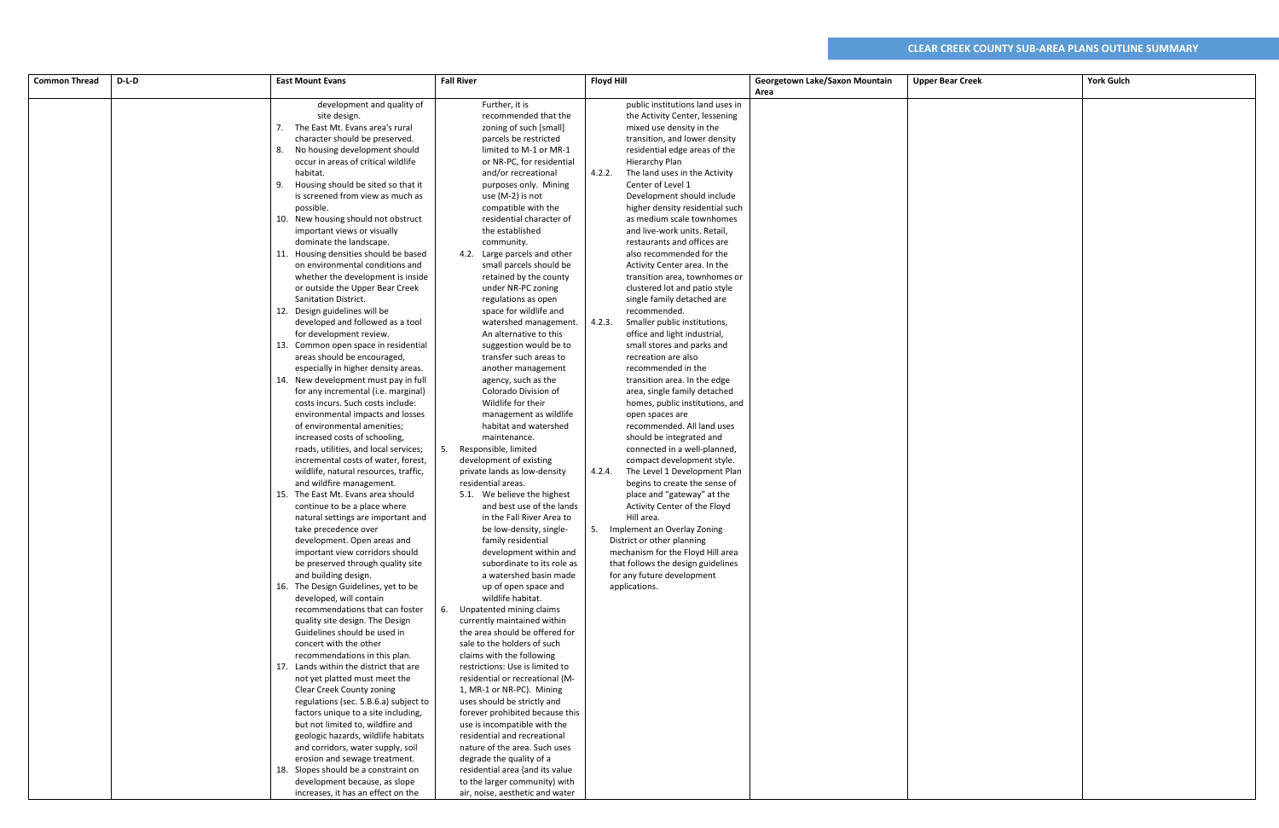| <b>Common Thread</b> | D-L-D | <b>East Mount Evans</b>                                                  | <b>Fall River</b>                           | <b>Floyd Hill</b>                             | Georgetown Lake/Saxon Mountain | <b>Upper Bear Creek</b> | <b>York Gulch</b> |
|----------------------|-------|--------------------------------------------------------------------------|---------------------------------------------|-----------------------------------------------|--------------------------------|-------------------------|-------------------|
|                      |       |                                                                          |                                             |                                               | Area                           |                         |                   |
|                      |       | development and quality of                                               | Further, it is                              | public institutions land uses in              |                                |                         |                   |
|                      |       | site design.                                                             | recommended that the                        | the Activity Center, lessening                |                                |                         |                   |
|                      |       | 7. The East Mt. Evans area's rural                                       | zoning of such [small]                      | mixed use density in the                      |                                |                         |                   |
|                      |       | character should be preserved.                                           | parcels be restricted                       | transition, and lower density                 |                                |                         |                   |
|                      |       | 8. No housing development should                                         | limited to M-1 or MR-1                      | residential edge areas of the                 |                                |                         |                   |
|                      |       | occur in areas of critical wildlife                                      | or NR-PC, for residential                   | Hierarchy Plan                                |                                |                         |                   |
|                      |       | habitat.                                                                 | and/or recreational                         | 4.2.2.<br>The land uses in the Activity       |                                |                         |                   |
|                      |       | 9. Housing should be sited so that it                                    | purposes only. Mining                       | Center of Level 1                             |                                |                         |                   |
|                      |       | is screened from view as much as                                         | use (M-2) is not                            | Development should include                    |                                |                         |                   |
|                      |       | possible.                                                                | compatible with the                         | higher density residential such               |                                |                         |                   |
|                      |       | 10. New housing should not obstruct                                      | residential character of                    | as medium scale townhomes                     |                                |                         |                   |
|                      |       | important views or visually                                              | the established                             | and live-work units. Retail,                  |                                |                         |                   |
|                      |       | dominate the landscape.                                                  | community.                                  | restaurants and offices are                   |                                |                         |                   |
|                      |       | 11. Housing densities should be based                                    | 4.2. Large parcels and other                | also recommended for the                      |                                |                         |                   |
|                      |       | on environmental conditions and                                          | small parcels should be                     | Activity Center area. In the                  |                                |                         |                   |
|                      |       | whether the development is inside                                        | retained by the county                      | transition area, townhomes or                 |                                |                         |                   |
|                      |       | or outside the Upper Bear Creek                                          | under NR-PC zoning                          | clustered lot and patio style                 |                                |                         |                   |
|                      |       | Sanitation District.                                                     | regulations as open                         | single family detached are                    |                                |                         |                   |
|                      |       | 12. Design guidelines will be                                            | space for wildlife and                      | recommended.                                  |                                |                         |                   |
|                      |       | developed and followed as a tool                                         | watershed management.                       | Smaller public institutions,<br>4.2.3.        |                                |                         |                   |
|                      |       | for development review.                                                  | An alternative to this                      | office and light industrial,                  |                                |                         |                   |
|                      |       | 13. Common open space in residential                                     | suggestion would be to                      | small stores and parks and                    |                                |                         |                   |
|                      |       | areas should be encouraged,                                              | transfer such areas to                      | recreation are also                           |                                |                         |                   |
|                      |       | especially in higher density areas.                                      | another management                          | recommended in the                            |                                |                         |                   |
|                      |       | 14. New development must pay in full                                     | agency, such as the<br>Colorado Division of | transition area. In the edge                  |                                |                         |                   |
|                      |       | for any incremental (i.e. marginal)<br>costs incurs. Such costs include: | Wildlife for their                          | area, single family detached                  |                                |                         |                   |
|                      |       | environmental impacts and losses                                         | management as wildlife                      | homes, public institutions, and               |                                |                         |                   |
|                      |       | of environmental amenities;                                              | habitat and watershed                       | open spaces are<br>recommended. All land uses |                                |                         |                   |
|                      |       | increased costs of schooling,                                            | maintenance.                                | should be integrated and                      |                                |                         |                   |
|                      |       | roads, utilities, and local services;                                    | Responsible, limited<br>5.                  | connected in a well-planned,                  |                                |                         |                   |
|                      |       | incremental costs of water, forest,                                      | development of existing                     | compact development style.                    |                                |                         |                   |
|                      |       | wildlife, natural resources, traffic,                                    | private lands as low-density                | The Level 1 Development Plan<br>4.2.4.        |                                |                         |                   |
|                      |       | and wildfire management.                                                 | residential areas.                          | begins to create the sense of                 |                                |                         |                   |
|                      |       | 15. The East Mt. Evans area should                                       | 5.1. We believe the highest                 | place and "gateway" at the                    |                                |                         |                   |
|                      |       | continue to be a place where                                             | and best use of the lands                   | Activity Center of the Floyd                  |                                |                         |                   |
|                      |       | natural settings are important and                                       | in the Fall River Area to                   | Hill area.                                    |                                |                         |                   |
|                      |       | take precedence over                                                     | be low-density, single-                     | Implement an Overlay Zoning<br>5.             |                                |                         |                   |
|                      |       | development. Open areas and                                              | family residential                          | District or other planning                    |                                |                         |                   |
|                      |       | important view corridors should                                          | development within and                      | mechanism for the Floyd Hill area             |                                |                         |                   |
|                      |       | be preserved through quality site                                        | subordinate to its role as                  | that follows the design guidelines            |                                |                         |                   |
|                      |       | and building design.                                                     | a watershed basin made                      | for any future development                    |                                |                         |                   |
|                      |       | 16. The Design Guidelines, yet to be                                     | up of open space and                        | applications.                                 |                                |                         |                   |
|                      |       | developed, will contain                                                  | wildlife habitat.                           |                                               |                                |                         |                   |
|                      |       | recommendations that can foster                                          | Unpatented mining claims<br>6.              |                                               |                                |                         |                   |
|                      |       | quality site design. The Design                                          | currently maintained within                 |                                               |                                |                         |                   |
|                      |       | Guidelines should be used in                                             | the area should be offered for              |                                               |                                |                         |                   |
|                      |       | concert with the other                                                   | sale to the holders of such                 |                                               |                                |                         |                   |
|                      |       | recommendations in this plan.                                            | claims with the following                   |                                               |                                |                         |                   |
|                      |       | 17. Lands within the district that are                                   | restrictions: Use is limited to             |                                               |                                |                         |                   |
|                      |       | not yet platted must meet the                                            | residential or recreational {M-             |                                               |                                |                         |                   |
|                      |       | Clear Creek County zoning                                                | 1, MR-1 or NR-PC). Mining                   |                                               |                                |                         |                   |
|                      |       | regulations (sec. 5.B.6.a) subject to                                    | uses should be strictly and                 |                                               |                                |                         |                   |
|                      |       | factors unique to a site including,                                      | forever prohibited because this             |                                               |                                |                         |                   |
|                      |       | but not limited to, wildfire and                                         | use is incompatible with the                |                                               |                                |                         |                   |
|                      |       | geologic hazards, wildlife habitats                                      | residential and recreational                |                                               |                                |                         |                   |
|                      |       | and corridors, water supply, soil                                        | nature of the area. Such uses               |                                               |                                |                         |                   |
|                      |       | erosion and sewage treatment.                                            | degrade the quality of a                    |                                               |                                |                         |                   |
|                      |       | 18. Slopes should be a constraint on                                     | residential area {and its value             |                                               |                                |                         |                   |
|                      |       | development because, as slope                                            | to the larger community) with               |                                               |                                |                         |                   |
|                      |       | increases, it has an effect on the                                       | air, noise, aesthetic and water             |                                               |                                |                         |                   |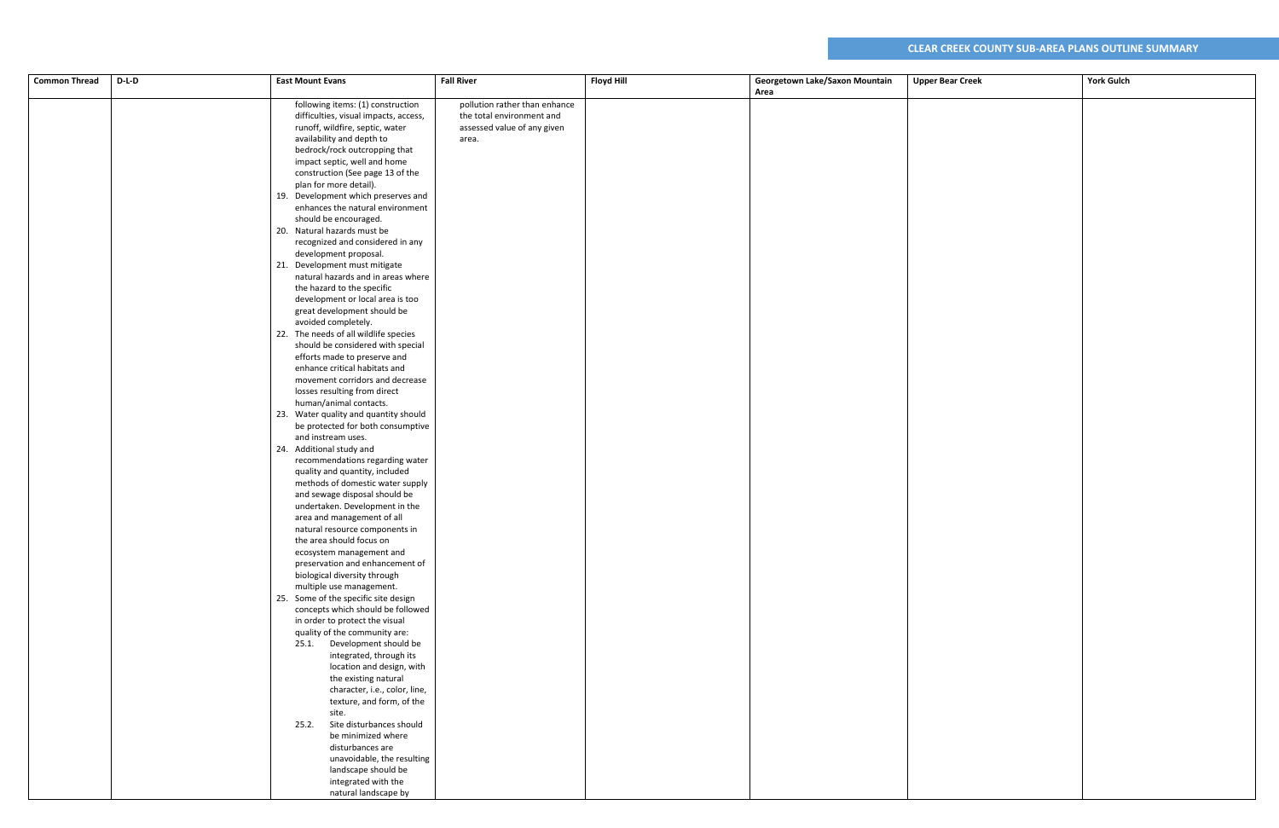| Area<br>following items: (1) construction<br>pollution rather than enhance<br>difficulties, visual impacts, access,<br>the total environment and<br>assessed value of any given<br>runoff, wildfire, septic, water<br>availability and depth to<br>area.<br>bedrock/rock outcropping that<br>impact septic, well and home<br>construction (See page 13 of the<br>plan for more detail).<br>19. Development which preserves and<br>enhances the natural environment<br>should be encouraged.<br>20. Natural hazards must be<br>recognized and considered in any<br>development proposal.<br>21. Development must mitigate<br>natural hazards and in areas where<br>the hazard to the specific<br>development or local area is too<br>great development should be<br>avoided completely.<br>22. The needs of all wildlife species<br>should be considered with special<br>efforts made to preserve and<br>enhance critical habitats and<br>movement corridors and decrease<br>losses resulting from direct<br>human/animal contacts.<br>23. Water quality and quantity should<br>be protected for both consumptive<br>and instream uses.<br>24. Additional study and<br>recommendations regarding water<br>quality and quantity, included<br>methods of domestic water supply<br>and sewage disposal should be<br>undertaken. Development in the<br>area and management of all<br>natural resource components in<br>the area should focus on<br>ecosystem management and<br>preservation and enhancement of<br>biological diversity through<br>multiple use management.<br>25. Some of the specific site design<br>concepts which should be followed<br>in order to protect the visual<br>quality of the community are:<br>25.1. Development should be<br>integrated, through its<br>location and design, with<br>the existing natural<br>character, i.e., color, line,<br>texture, and form, of the<br>site.<br>Site disturbances should<br>25.2.<br>be minimized where<br>disturbances are<br>unavoidable, the resulting<br>landscape should be<br>integrated with the<br>natural landscape by | <b>Common Thread</b> | $D-L-D$ | <b>East Mount Evans</b> | <b>Fall River</b> | <b>Floyd Hill</b> | Georgetown Lake/Saxon Mountain | <b>Upper Bear Creek</b> | <b>York Gulch</b> |
|------------------------------------------------------------------------------------------------------------------------------------------------------------------------------------------------------------------------------------------------------------------------------------------------------------------------------------------------------------------------------------------------------------------------------------------------------------------------------------------------------------------------------------------------------------------------------------------------------------------------------------------------------------------------------------------------------------------------------------------------------------------------------------------------------------------------------------------------------------------------------------------------------------------------------------------------------------------------------------------------------------------------------------------------------------------------------------------------------------------------------------------------------------------------------------------------------------------------------------------------------------------------------------------------------------------------------------------------------------------------------------------------------------------------------------------------------------------------------------------------------------------------------------------------------------------------------------------------------------------------------------------------------------------------------------------------------------------------------------------------------------------------------------------------------------------------------------------------------------------------------------------------------------------------------------------------------------------------------------------------------------------------------------------------------------------------------------------------|----------------------|---------|-------------------------|-------------------|-------------------|--------------------------------|-------------------------|-------------------|
|                                                                                                                                                                                                                                                                                                                                                                                                                                                                                                                                                                                                                                                                                                                                                                                                                                                                                                                                                                                                                                                                                                                                                                                                                                                                                                                                                                                                                                                                                                                                                                                                                                                                                                                                                                                                                                                                                                                                                                                                                                                                                                |                      |         |                         |                   |                   |                                |                         |                   |
|                                                                                                                                                                                                                                                                                                                                                                                                                                                                                                                                                                                                                                                                                                                                                                                                                                                                                                                                                                                                                                                                                                                                                                                                                                                                                                                                                                                                                                                                                                                                                                                                                                                                                                                                                                                                                                                                                                                                                                                                                                                                                                |                      |         |                         |                   |                   |                                |                         |                   |
|                                                                                                                                                                                                                                                                                                                                                                                                                                                                                                                                                                                                                                                                                                                                                                                                                                                                                                                                                                                                                                                                                                                                                                                                                                                                                                                                                                                                                                                                                                                                                                                                                                                                                                                                                                                                                                                                                                                                                                                                                                                                                                |                      |         |                         |                   |                   |                                |                         |                   |
|                                                                                                                                                                                                                                                                                                                                                                                                                                                                                                                                                                                                                                                                                                                                                                                                                                                                                                                                                                                                                                                                                                                                                                                                                                                                                                                                                                                                                                                                                                                                                                                                                                                                                                                                                                                                                                                                                                                                                                                                                                                                                                |                      |         |                         |                   |                   |                                |                         |                   |
|                                                                                                                                                                                                                                                                                                                                                                                                                                                                                                                                                                                                                                                                                                                                                                                                                                                                                                                                                                                                                                                                                                                                                                                                                                                                                                                                                                                                                                                                                                                                                                                                                                                                                                                                                                                                                                                                                                                                                                                                                                                                                                |                      |         |                         |                   |                   |                                |                         |                   |
|                                                                                                                                                                                                                                                                                                                                                                                                                                                                                                                                                                                                                                                                                                                                                                                                                                                                                                                                                                                                                                                                                                                                                                                                                                                                                                                                                                                                                                                                                                                                                                                                                                                                                                                                                                                                                                                                                                                                                                                                                                                                                                |                      |         |                         |                   |                   |                                |                         |                   |
|                                                                                                                                                                                                                                                                                                                                                                                                                                                                                                                                                                                                                                                                                                                                                                                                                                                                                                                                                                                                                                                                                                                                                                                                                                                                                                                                                                                                                                                                                                                                                                                                                                                                                                                                                                                                                                                                                                                                                                                                                                                                                                |                      |         |                         |                   |                   |                                |                         |                   |
|                                                                                                                                                                                                                                                                                                                                                                                                                                                                                                                                                                                                                                                                                                                                                                                                                                                                                                                                                                                                                                                                                                                                                                                                                                                                                                                                                                                                                                                                                                                                                                                                                                                                                                                                                                                                                                                                                                                                                                                                                                                                                                |                      |         |                         |                   |                   |                                |                         |                   |
|                                                                                                                                                                                                                                                                                                                                                                                                                                                                                                                                                                                                                                                                                                                                                                                                                                                                                                                                                                                                                                                                                                                                                                                                                                                                                                                                                                                                                                                                                                                                                                                                                                                                                                                                                                                                                                                                                                                                                                                                                                                                                                |                      |         |                         |                   |                   |                                |                         |                   |
|                                                                                                                                                                                                                                                                                                                                                                                                                                                                                                                                                                                                                                                                                                                                                                                                                                                                                                                                                                                                                                                                                                                                                                                                                                                                                                                                                                                                                                                                                                                                                                                                                                                                                                                                                                                                                                                                                                                                                                                                                                                                                                |                      |         |                         |                   |                   |                                |                         |                   |
|                                                                                                                                                                                                                                                                                                                                                                                                                                                                                                                                                                                                                                                                                                                                                                                                                                                                                                                                                                                                                                                                                                                                                                                                                                                                                                                                                                                                                                                                                                                                                                                                                                                                                                                                                                                                                                                                                                                                                                                                                                                                                                |                      |         |                         |                   |                   |                                |                         |                   |
|                                                                                                                                                                                                                                                                                                                                                                                                                                                                                                                                                                                                                                                                                                                                                                                                                                                                                                                                                                                                                                                                                                                                                                                                                                                                                                                                                                                                                                                                                                                                                                                                                                                                                                                                                                                                                                                                                                                                                                                                                                                                                                |                      |         |                         |                   |                   |                                |                         |                   |
|                                                                                                                                                                                                                                                                                                                                                                                                                                                                                                                                                                                                                                                                                                                                                                                                                                                                                                                                                                                                                                                                                                                                                                                                                                                                                                                                                                                                                                                                                                                                                                                                                                                                                                                                                                                                                                                                                                                                                                                                                                                                                                |                      |         |                         |                   |                   |                                |                         |                   |
|                                                                                                                                                                                                                                                                                                                                                                                                                                                                                                                                                                                                                                                                                                                                                                                                                                                                                                                                                                                                                                                                                                                                                                                                                                                                                                                                                                                                                                                                                                                                                                                                                                                                                                                                                                                                                                                                                                                                                                                                                                                                                                |                      |         |                         |                   |                   |                                |                         |                   |
|                                                                                                                                                                                                                                                                                                                                                                                                                                                                                                                                                                                                                                                                                                                                                                                                                                                                                                                                                                                                                                                                                                                                                                                                                                                                                                                                                                                                                                                                                                                                                                                                                                                                                                                                                                                                                                                                                                                                                                                                                                                                                                |                      |         |                         |                   |                   |                                |                         |                   |
|                                                                                                                                                                                                                                                                                                                                                                                                                                                                                                                                                                                                                                                                                                                                                                                                                                                                                                                                                                                                                                                                                                                                                                                                                                                                                                                                                                                                                                                                                                                                                                                                                                                                                                                                                                                                                                                                                                                                                                                                                                                                                                |                      |         |                         |                   |                   |                                |                         |                   |
|                                                                                                                                                                                                                                                                                                                                                                                                                                                                                                                                                                                                                                                                                                                                                                                                                                                                                                                                                                                                                                                                                                                                                                                                                                                                                                                                                                                                                                                                                                                                                                                                                                                                                                                                                                                                                                                                                                                                                                                                                                                                                                |                      |         |                         |                   |                   |                                |                         |                   |
|                                                                                                                                                                                                                                                                                                                                                                                                                                                                                                                                                                                                                                                                                                                                                                                                                                                                                                                                                                                                                                                                                                                                                                                                                                                                                                                                                                                                                                                                                                                                                                                                                                                                                                                                                                                                                                                                                                                                                                                                                                                                                                |                      |         |                         |                   |                   |                                |                         |                   |
|                                                                                                                                                                                                                                                                                                                                                                                                                                                                                                                                                                                                                                                                                                                                                                                                                                                                                                                                                                                                                                                                                                                                                                                                                                                                                                                                                                                                                                                                                                                                                                                                                                                                                                                                                                                                                                                                                                                                                                                                                                                                                                |                      |         |                         |                   |                   |                                |                         |                   |
|                                                                                                                                                                                                                                                                                                                                                                                                                                                                                                                                                                                                                                                                                                                                                                                                                                                                                                                                                                                                                                                                                                                                                                                                                                                                                                                                                                                                                                                                                                                                                                                                                                                                                                                                                                                                                                                                                                                                                                                                                                                                                                |                      |         |                         |                   |                   |                                |                         |                   |
|                                                                                                                                                                                                                                                                                                                                                                                                                                                                                                                                                                                                                                                                                                                                                                                                                                                                                                                                                                                                                                                                                                                                                                                                                                                                                                                                                                                                                                                                                                                                                                                                                                                                                                                                                                                                                                                                                                                                                                                                                                                                                                |                      |         |                         |                   |                   |                                |                         |                   |
|                                                                                                                                                                                                                                                                                                                                                                                                                                                                                                                                                                                                                                                                                                                                                                                                                                                                                                                                                                                                                                                                                                                                                                                                                                                                                                                                                                                                                                                                                                                                                                                                                                                                                                                                                                                                                                                                                                                                                                                                                                                                                                |                      |         |                         |                   |                   |                                |                         |                   |
|                                                                                                                                                                                                                                                                                                                                                                                                                                                                                                                                                                                                                                                                                                                                                                                                                                                                                                                                                                                                                                                                                                                                                                                                                                                                                                                                                                                                                                                                                                                                                                                                                                                                                                                                                                                                                                                                                                                                                                                                                                                                                                |                      |         |                         |                   |                   |                                |                         |                   |
|                                                                                                                                                                                                                                                                                                                                                                                                                                                                                                                                                                                                                                                                                                                                                                                                                                                                                                                                                                                                                                                                                                                                                                                                                                                                                                                                                                                                                                                                                                                                                                                                                                                                                                                                                                                                                                                                                                                                                                                                                                                                                                |                      |         |                         |                   |                   |                                |                         |                   |
|                                                                                                                                                                                                                                                                                                                                                                                                                                                                                                                                                                                                                                                                                                                                                                                                                                                                                                                                                                                                                                                                                                                                                                                                                                                                                                                                                                                                                                                                                                                                                                                                                                                                                                                                                                                                                                                                                                                                                                                                                                                                                                |                      |         |                         |                   |                   |                                |                         |                   |
|                                                                                                                                                                                                                                                                                                                                                                                                                                                                                                                                                                                                                                                                                                                                                                                                                                                                                                                                                                                                                                                                                                                                                                                                                                                                                                                                                                                                                                                                                                                                                                                                                                                                                                                                                                                                                                                                                                                                                                                                                                                                                                |                      |         |                         |                   |                   |                                |                         |                   |
|                                                                                                                                                                                                                                                                                                                                                                                                                                                                                                                                                                                                                                                                                                                                                                                                                                                                                                                                                                                                                                                                                                                                                                                                                                                                                                                                                                                                                                                                                                                                                                                                                                                                                                                                                                                                                                                                                                                                                                                                                                                                                                |                      |         |                         |                   |                   |                                |                         |                   |
|                                                                                                                                                                                                                                                                                                                                                                                                                                                                                                                                                                                                                                                                                                                                                                                                                                                                                                                                                                                                                                                                                                                                                                                                                                                                                                                                                                                                                                                                                                                                                                                                                                                                                                                                                                                                                                                                                                                                                                                                                                                                                                |                      |         |                         |                   |                   |                                |                         |                   |
|                                                                                                                                                                                                                                                                                                                                                                                                                                                                                                                                                                                                                                                                                                                                                                                                                                                                                                                                                                                                                                                                                                                                                                                                                                                                                                                                                                                                                                                                                                                                                                                                                                                                                                                                                                                                                                                                                                                                                                                                                                                                                                |                      |         |                         |                   |                   |                                |                         |                   |
|                                                                                                                                                                                                                                                                                                                                                                                                                                                                                                                                                                                                                                                                                                                                                                                                                                                                                                                                                                                                                                                                                                                                                                                                                                                                                                                                                                                                                                                                                                                                                                                                                                                                                                                                                                                                                                                                                                                                                                                                                                                                                                |                      |         |                         |                   |                   |                                |                         |                   |
|                                                                                                                                                                                                                                                                                                                                                                                                                                                                                                                                                                                                                                                                                                                                                                                                                                                                                                                                                                                                                                                                                                                                                                                                                                                                                                                                                                                                                                                                                                                                                                                                                                                                                                                                                                                                                                                                                                                                                                                                                                                                                                |                      |         |                         |                   |                   |                                |                         |                   |
|                                                                                                                                                                                                                                                                                                                                                                                                                                                                                                                                                                                                                                                                                                                                                                                                                                                                                                                                                                                                                                                                                                                                                                                                                                                                                                                                                                                                                                                                                                                                                                                                                                                                                                                                                                                                                                                                                                                                                                                                                                                                                                |                      |         |                         |                   |                   |                                |                         |                   |
|                                                                                                                                                                                                                                                                                                                                                                                                                                                                                                                                                                                                                                                                                                                                                                                                                                                                                                                                                                                                                                                                                                                                                                                                                                                                                                                                                                                                                                                                                                                                                                                                                                                                                                                                                                                                                                                                                                                                                                                                                                                                                                |                      |         |                         |                   |                   |                                |                         |                   |
|                                                                                                                                                                                                                                                                                                                                                                                                                                                                                                                                                                                                                                                                                                                                                                                                                                                                                                                                                                                                                                                                                                                                                                                                                                                                                                                                                                                                                                                                                                                                                                                                                                                                                                                                                                                                                                                                                                                                                                                                                                                                                                |                      |         |                         |                   |                   |                                |                         |                   |
|                                                                                                                                                                                                                                                                                                                                                                                                                                                                                                                                                                                                                                                                                                                                                                                                                                                                                                                                                                                                                                                                                                                                                                                                                                                                                                                                                                                                                                                                                                                                                                                                                                                                                                                                                                                                                                                                                                                                                                                                                                                                                                |                      |         |                         |                   |                   |                                |                         |                   |
|                                                                                                                                                                                                                                                                                                                                                                                                                                                                                                                                                                                                                                                                                                                                                                                                                                                                                                                                                                                                                                                                                                                                                                                                                                                                                                                                                                                                                                                                                                                                                                                                                                                                                                                                                                                                                                                                                                                                                                                                                                                                                                |                      |         |                         |                   |                   |                                |                         |                   |
|                                                                                                                                                                                                                                                                                                                                                                                                                                                                                                                                                                                                                                                                                                                                                                                                                                                                                                                                                                                                                                                                                                                                                                                                                                                                                                                                                                                                                                                                                                                                                                                                                                                                                                                                                                                                                                                                                                                                                                                                                                                                                                |                      |         |                         |                   |                   |                                |                         |                   |
|                                                                                                                                                                                                                                                                                                                                                                                                                                                                                                                                                                                                                                                                                                                                                                                                                                                                                                                                                                                                                                                                                                                                                                                                                                                                                                                                                                                                                                                                                                                                                                                                                                                                                                                                                                                                                                                                                                                                                                                                                                                                                                |                      |         |                         |                   |                   |                                |                         |                   |
|                                                                                                                                                                                                                                                                                                                                                                                                                                                                                                                                                                                                                                                                                                                                                                                                                                                                                                                                                                                                                                                                                                                                                                                                                                                                                                                                                                                                                                                                                                                                                                                                                                                                                                                                                                                                                                                                                                                                                                                                                                                                                                |                      |         |                         |                   |                   |                                |                         |                   |
|                                                                                                                                                                                                                                                                                                                                                                                                                                                                                                                                                                                                                                                                                                                                                                                                                                                                                                                                                                                                                                                                                                                                                                                                                                                                                                                                                                                                                                                                                                                                                                                                                                                                                                                                                                                                                                                                                                                                                                                                                                                                                                |                      |         |                         |                   |                   |                                |                         |                   |
|                                                                                                                                                                                                                                                                                                                                                                                                                                                                                                                                                                                                                                                                                                                                                                                                                                                                                                                                                                                                                                                                                                                                                                                                                                                                                                                                                                                                                                                                                                                                                                                                                                                                                                                                                                                                                                                                                                                                                                                                                                                                                                |                      |         |                         |                   |                   |                                |                         |                   |
|                                                                                                                                                                                                                                                                                                                                                                                                                                                                                                                                                                                                                                                                                                                                                                                                                                                                                                                                                                                                                                                                                                                                                                                                                                                                                                                                                                                                                                                                                                                                                                                                                                                                                                                                                                                                                                                                                                                                                                                                                                                                                                |                      |         |                         |                   |                   |                                |                         |                   |
|                                                                                                                                                                                                                                                                                                                                                                                                                                                                                                                                                                                                                                                                                                                                                                                                                                                                                                                                                                                                                                                                                                                                                                                                                                                                                                                                                                                                                                                                                                                                                                                                                                                                                                                                                                                                                                                                                                                                                                                                                                                                                                |                      |         |                         |                   |                   |                                |                         |                   |
|                                                                                                                                                                                                                                                                                                                                                                                                                                                                                                                                                                                                                                                                                                                                                                                                                                                                                                                                                                                                                                                                                                                                                                                                                                                                                                                                                                                                                                                                                                                                                                                                                                                                                                                                                                                                                                                                                                                                                                                                                                                                                                |                      |         |                         |                   |                   |                                |                         |                   |
|                                                                                                                                                                                                                                                                                                                                                                                                                                                                                                                                                                                                                                                                                                                                                                                                                                                                                                                                                                                                                                                                                                                                                                                                                                                                                                                                                                                                                                                                                                                                                                                                                                                                                                                                                                                                                                                                                                                                                                                                                                                                                                |                      |         |                         |                   |                   |                                |                         |                   |
|                                                                                                                                                                                                                                                                                                                                                                                                                                                                                                                                                                                                                                                                                                                                                                                                                                                                                                                                                                                                                                                                                                                                                                                                                                                                                                                                                                                                                                                                                                                                                                                                                                                                                                                                                                                                                                                                                                                                                                                                                                                                                                |                      |         |                         |                   |                   |                                |                         |                   |
|                                                                                                                                                                                                                                                                                                                                                                                                                                                                                                                                                                                                                                                                                                                                                                                                                                                                                                                                                                                                                                                                                                                                                                                                                                                                                                                                                                                                                                                                                                                                                                                                                                                                                                                                                                                                                                                                                                                                                                                                                                                                                                |                      |         |                         |                   |                   |                                |                         |                   |
|                                                                                                                                                                                                                                                                                                                                                                                                                                                                                                                                                                                                                                                                                                                                                                                                                                                                                                                                                                                                                                                                                                                                                                                                                                                                                                                                                                                                                                                                                                                                                                                                                                                                                                                                                                                                                                                                                                                                                                                                                                                                                                |                      |         |                         |                   |                   |                                |                         |                   |
|                                                                                                                                                                                                                                                                                                                                                                                                                                                                                                                                                                                                                                                                                                                                                                                                                                                                                                                                                                                                                                                                                                                                                                                                                                                                                                                                                                                                                                                                                                                                                                                                                                                                                                                                                                                                                                                                                                                                                                                                                                                                                                |                      |         |                         |                   |                   |                                |                         |                   |
|                                                                                                                                                                                                                                                                                                                                                                                                                                                                                                                                                                                                                                                                                                                                                                                                                                                                                                                                                                                                                                                                                                                                                                                                                                                                                                                                                                                                                                                                                                                                                                                                                                                                                                                                                                                                                                                                                                                                                                                                                                                                                                |                      |         |                         |                   |                   |                                |                         |                   |
|                                                                                                                                                                                                                                                                                                                                                                                                                                                                                                                                                                                                                                                                                                                                                                                                                                                                                                                                                                                                                                                                                                                                                                                                                                                                                                                                                                                                                                                                                                                                                                                                                                                                                                                                                                                                                                                                                                                                                                                                                                                                                                |                      |         |                         |                   |                   |                                |                         |                   |
|                                                                                                                                                                                                                                                                                                                                                                                                                                                                                                                                                                                                                                                                                                                                                                                                                                                                                                                                                                                                                                                                                                                                                                                                                                                                                                                                                                                                                                                                                                                                                                                                                                                                                                                                                                                                                                                                                                                                                                                                                                                                                                |                      |         |                         |                   |                   |                                |                         |                   |
|                                                                                                                                                                                                                                                                                                                                                                                                                                                                                                                                                                                                                                                                                                                                                                                                                                                                                                                                                                                                                                                                                                                                                                                                                                                                                                                                                                                                                                                                                                                                                                                                                                                                                                                                                                                                                                                                                                                                                                                                                                                                                                |                      |         |                         |                   |                   |                                |                         |                   |
|                                                                                                                                                                                                                                                                                                                                                                                                                                                                                                                                                                                                                                                                                                                                                                                                                                                                                                                                                                                                                                                                                                                                                                                                                                                                                                                                                                                                                                                                                                                                                                                                                                                                                                                                                                                                                                                                                                                                                                                                                                                                                                |                      |         |                         |                   |                   |                                |                         |                   |
|                                                                                                                                                                                                                                                                                                                                                                                                                                                                                                                                                                                                                                                                                                                                                                                                                                                                                                                                                                                                                                                                                                                                                                                                                                                                                                                                                                                                                                                                                                                                                                                                                                                                                                                                                                                                                                                                                                                                                                                                                                                                                                |                      |         |                         |                   |                   |                                |                         |                   |
|                                                                                                                                                                                                                                                                                                                                                                                                                                                                                                                                                                                                                                                                                                                                                                                                                                                                                                                                                                                                                                                                                                                                                                                                                                                                                                                                                                                                                                                                                                                                                                                                                                                                                                                                                                                                                                                                                                                                                                                                                                                                                                |                      |         |                         |                   |                   |                                |                         |                   |
|                                                                                                                                                                                                                                                                                                                                                                                                                                                                                                                                                                                                                                                                                                                                                                                                                                                                                                                                                                                                                                                                                                                                                                                                                                                                                                                                                                                                                                                                                                                                                                                                                                                                                                                                                                                                                                                                                                                                                                                                                                                                                                |                      |         |                         |                   |                   |                                |                         |                   |
|                                                                                                                                                                                                                                                                                                                                                                                                                                                                                                                                                                                                                                                                                                                                                                                                                                                                                                                                                                                                                                                                                                                                                                                                                                                                                                                                                                                                                                                                                                                                                                                                                                                                                                                                                                                                                                                                                                                                                                                                                                                                                                |                      |         |                         |                   |                   |                                |                         |                   |
|                                                                                                                                                                                                                                                                                                                                                                                                                                                                                                                                                                                                                                                                                                                                                                                                                                                                                                                                                                                                                                                                                                                                                                                                                                                                                                                                                                                                                                                                                                                                                                                                                                                                                                                                                                                                                                                                                                                                                                                                                                                                                                |                      |         |                         |                   |                   |                                |                         |                   |
|                                                                                                                                                                                                                                                                                                                                                                                                                                                                                                                                                                                                                                                                                                                                                                                                                                                                                                                                                                                                                                                                                                                                                                                                                                                                                                                                                                                                                                                                                                                                                                                                                                                                                                                                                                                                                                                                                                                                                                                                                                                                                                |                      |         |                         |                   |                   |                                |                         |                   |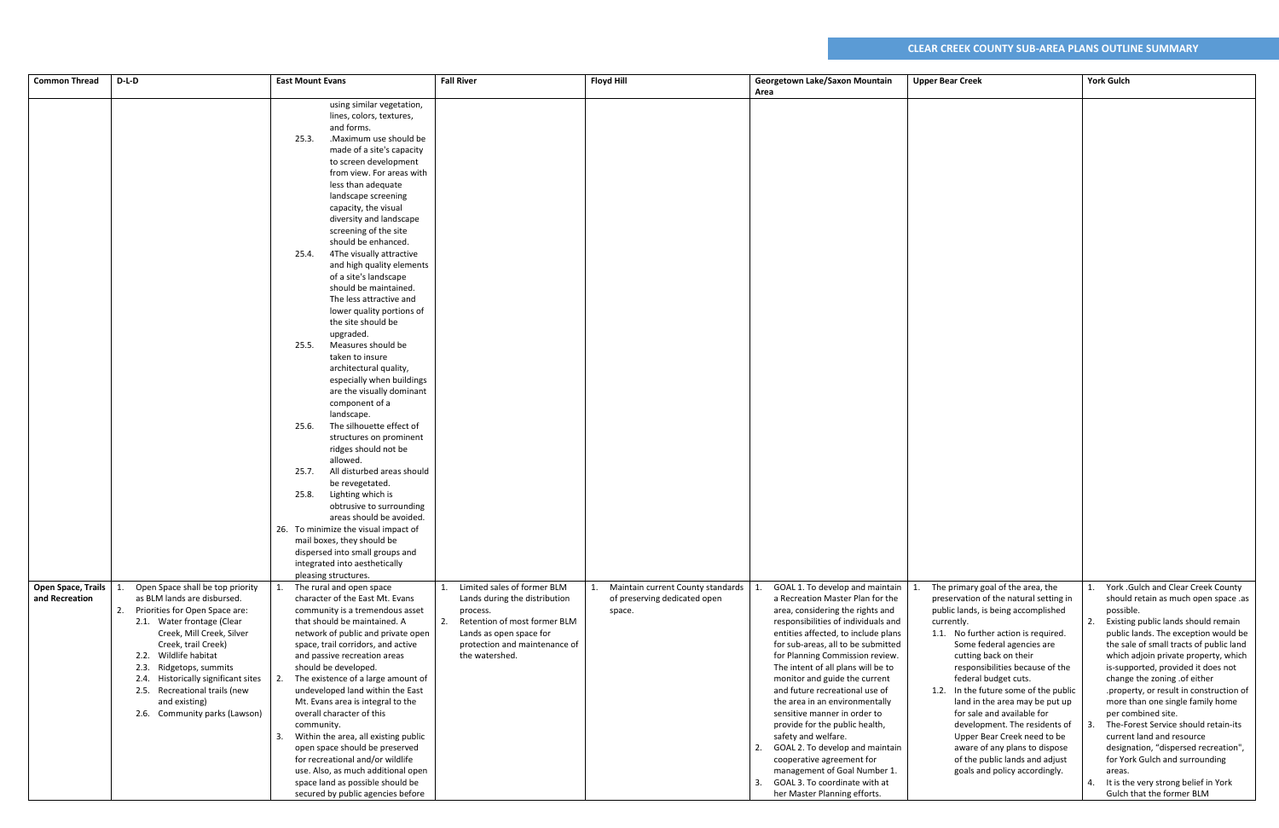| <b>Common Thread</b> | D-L-D                               | <b>East Mount Evans</b>              | <b>Fall River</b>                  | <b>Floyd Hill</b>                 | Georgetown Lake/Saxon Mountain        | <b>Upper Bear Creek</b>                | <b>York Gulch</b>                          |
|----------------------|-------------------------------------|--------------------------------------|------------------------------------|-----------------------------------|---------------------------------------|----------------------------------------|--------------------------------------------|
|                      |                                     |                                      |                                    |                                   | Area                                  |                                        |                                            |
|                      |                                     | using similar vegetation,            |                                    |                                   |                                       |                                        |                                            |
|                      |                                     | lines, colors, textures,             |                                    |                                   |                                       |                                        |                                            |
|                      |                                     | and forms.                           |                                    |                                   |                                       |                                        |                                            |
|                      |                                     | .Maximum use should be<br>25.3.      |                                    |                                   |                                       |                                        |                                            |
|                      |                                     | made of a site's capacity            |                                    |                                   |                                       |                                        |                                            |
|                      |                                     | to screen development                |                                    |                                   |                                       |                                        |                                            |
|                      |                                     |                                      |                                    |                                   |                                       |                                        |                                            |
|                      |                                     | from view. For areas with            |                                    |                                   |                                       |                                        |                                            |
|                      |                                     | less than adequate                   |                                    |                                   |                                       |                                        |                                            |
|                      |                                     | landscape screening                  |                                    |                                   |                                       |                                        |                                            |
|                      |                                     | capacity, the visual                 |                                    |                                   |                                       |                                        |                                            |
|                      |                                     | diversity and landscape              |                                    |                                   |                                       |                                        |                                            |
|                      |                                     | screening of the site                |                                    |                                   |                                       |                                        |                                            |
|                      |                                     | should be enhanced.                  |                                    |                                   |                                       |                                        |                                            |
|                      |                                     | 4The visually attractive<br>25.4.    |                                    |                                   |                                       |                                        |                                            |
|                      |                                     | and high quality elements            |                                    |                                   |                                       |                                        |                                            |
|                      |                                     | of a site's landscape                |                                    |                                   |                                       |                                        |                                            |
|                      |                                     | should be maintained.                |                                    |                                   |                                       |                                        |                                            |
|                      |                                     | The less attractive and              |                                    |                                   |                                       |                                        |                                            |
|                      |                                     | lower quality portions of            |                                    |                                   |                                       |                                        |                                            |
|                      |                                     | the site should be                   |                                    |                                   |                                       |                                        |                                            |
|                      |                                     | upgraded.                            |                                    |                                   |                                       |                                        |                                            |
|                      |                                     | Measures should be                   |                                    |                                   |                                       |                                        |                                            |
|                      |                                     | 25.5.                                |                                    |                                   |                                       |                                        |                                            |
|                      |                                     | taken to insure                      |                                    |                                   |                                       |                                        |                                            |
|                      |                                     | architectural quality,               |                                    |                                   |                                       |                                        |                                            |
|                      |                                     | especially when buildings            |                                    |                                   |                                       |                                        |                                            |
|                      |                                     | are the visually dominant            |                                    |                                   |                                       |                                        |                                            |
|                      |                                     | component of a                       |                                    |                                   |                                       |                                        |                                            |
|                      |                                     | landscape.                           |                                    |                                   |                                       |                                        |                                            |
|                      |                                     | The silhouette effect of<br>25.6.    |                                    |                                   |                                       |                                        |                                            |
|                      |                                     | structures on prominent              |                                    |                                   |                                       |                                        |                                            |
|                      |                                     | ridges should not be                 |                                    |                                   |                                       |                                        |                                            |
|                      |                                     | allowed.                             |                                    |                                   |                                       |                                        |                                            |
|                      |                                     | All disturbed areas should<br>25.7.  |                                    |                                   |                                       |                                        |                                            |
|                      |                                     | be revegetated.                      |                                    |                                   |                                       |                                        |                                            |
|                      |                                     | Lighting which is<br>25.8.           |                                    |                                   |                                       |                                        |                                            |
|                      |                                     | obtrusive to surrounding             |                                    |                                   |                                       |                                        |                                            |
|                      |                                     | areas should be avoided.             |                                    |                                   |                                       |                                        |                                            |
|                      |                                     | 26. To minimize the visual impact of |                                    |                                   |                                       |                                        |                                            |
|                      |                                     | mail boxes, they should be           |                                    |                                   |                                       |                                        |                                            |
|                      |                                     | dispersed into small groups and      |                                    |                                   |                                       |                                        |                                            |
|                      |                                     | integrated into aesthetically        |                                    |                                   |                                       |                                        |                                            |
|                      |                                     | pleasing structures.                 |                                    |                                   |                                       |                                        |                                            |
| Open Space, Trails   | Open Space shall be top priority    | The rural and open space             | Limited sales of former BLM        | Maintain current County standards | GOAL 1. To develop and maintain       | The primary goal of the area, the      | York .Gulch and Clear Creek County         |
| and Recreation       | as BLM lands are disbursed.         | character of the East Mt. Evans      | Lands during the distribution      | of preserving dedicated open      | a Recreation Master Plan for the      | preservation of the natural setting in | should retain as much open space .as       |
|                      | 2. Priorities for Open Space are:   | community is a tremendous asset      | process.                           | space.                            | area, considering the rights and      | public lands, is being accomplished    | possible.                                  |
|                      | 2.1. Water frontage (Clear          | that should be maintained. A         | Retention of most former BLM<br>2. |                                   | responsibilities of individuals and   | currently.                             | Existing public lands should remain<br>2.  |
|                      | Creek, Mill Creek, Silver           | network of public and private open   | Lands as open space for            |                                   | entities affected, to include plans   | 1.1. No further action is required.    | public lands. The exception would be       |
|                      | Creek, trail Creek)                 | space, trail corridors, and active   | protection and maintenance of      |                                   | for sub-areas, all to be submitted    | Some federal agencies are              | the sale of small tracts of public land    |
|                      | 2.2. Wildlife habitat               | and passive recreation areas         | the watershed.                     |                                   |                                       |                                        |                                            |
|                      |                                     |                                      |                                    |                                   | for Planning Commission review.       | cutting back on their                  | which adjoin private property, which       |
|                      | 2.3. Ridgetops, summits             | should be developed.                 |                                    |                                   | The intent of all plans will be to    | responsibilities because of the        | is-supported, provided it does not         |
|                      | 2.4. Historically significant sites | The existence of a large amount of   |                                    |                                   | monitor and guide the current         | federal budget cuts.                   | change the zoning .of either               |
|                      | 2.5. Recreational trails (new       | undeveloped land within the East     |                                    |                                   | and future recreational use of        | 1.2. In the future some of the public  | .property, or result in construction of    |
|                      | and existing)                       | Mt. Evans area is integral to the    |                                    |                                   | the area in an environmentally        | land in the area may be put up         | more than one single family home           |
|                      | 2.6. Community parks (Lawson)       | overall character of this            |                                    |                                   | sensitive manner in order to          | for sale and available for             | per combined site.                         |
|                      |                                     | community.                           |                                    |                                   | provide for the public health,        | development. The residents of          | The-Forest Service should retain-its       |
|                      |                                     | Within the area, all existing public |                                    |                                   | safety and welfare.                   | Upper Bear Creek need to be            | current land and resource                  |
|                      |                                     | open space should be preserved       |                                    |                                   | GOAL 2. To develop and maintain<br>2. | aware of any plans to dispose          | designation, "dispersed recreation",       |
|                      |                                     | for recreational and/or wildlife     |                                    |                                   | cooperative agreement for             | of the public lands and adjust         | for York Gulch and surrounding             |
|                      |                                     | use. Also, as much additional open   |                                    |                                   | management of Goal Number 1.          | goals and policy accordingly.          | areas.                                     |
|                      |                                     | space land as possible should be     |                                    |                                   | GOAL 3. To coordinate with at<br>3.   |                                        | It is the very strong belief in York<br>4. |
|                      |                                     | secured by public agencies before    |                                    |                                   | her Master Planning efforts.          |                                        | Gulch that the former BLM                  |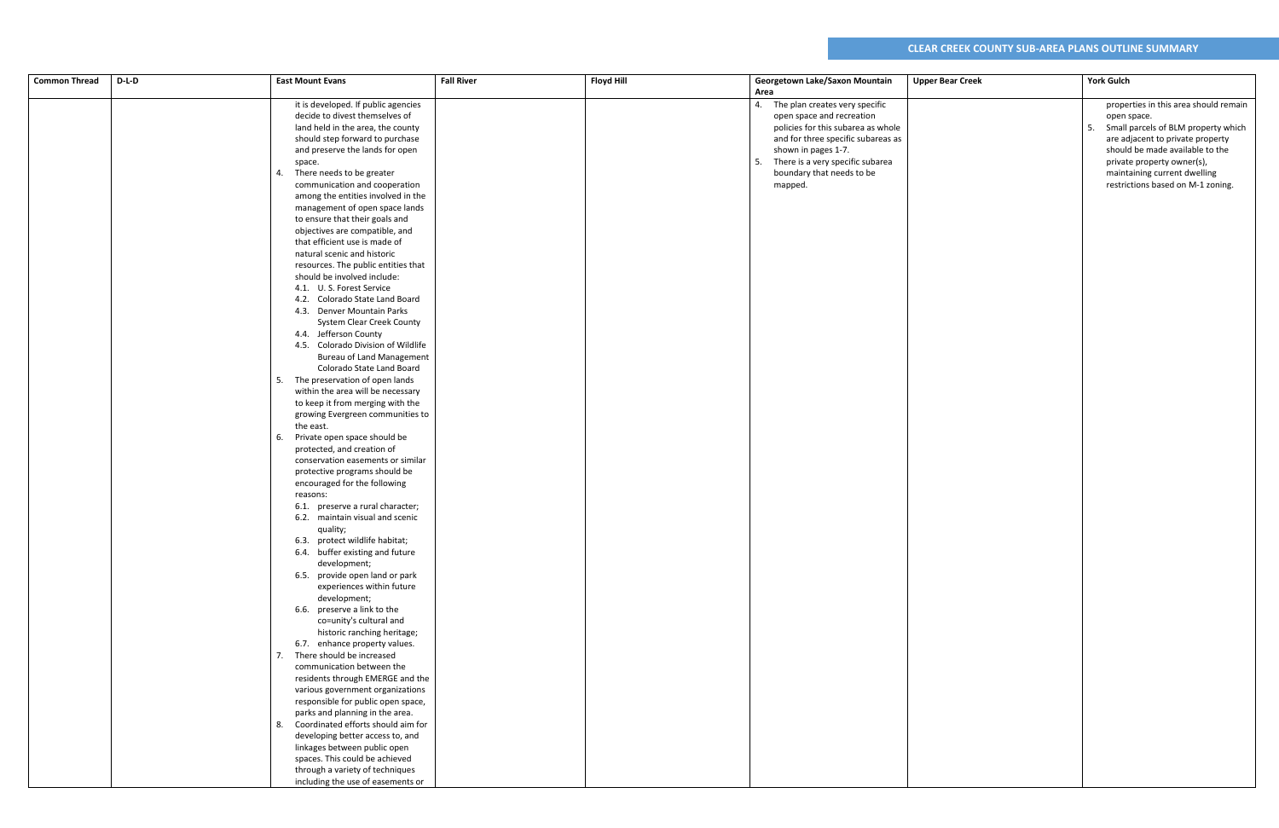| <b>Common Thread</b> | $D-L-D$ | <b>East Mount Evans</b>                                          | <b>Fall River</b> | <b>Floyd Hill</b> | Georgetown Lake/Saxon Mountain<br>Area | <b>Upper Bear Creek</b> | <b>York Gulch</b>                         |
|----------------------|---------|------------------------------------------------------------------|-------------------|-------------------|----------------------------------------|-------------------------|-------------------------------------------|
|                      |         | it is developed. If public agencies                              |                   |                   | 4. The plan creates very specific      |                         | properties in this area should remain     |
|                      |         | decide to divest themselves of                                   |                   |                   | open space and recreation              |                         | open space.                               |
|                      |         | land held in the area, the county                                |                   |                   | policies for this subarea as whole     |                         | 5.<br>Small parcels of BLM property which |
|                      |         | should step forward to purchase                                  |                   |                   | and for three specific subareas as     |                         | are adjacent to private property          |
|                      |         | and preserve the lands for open                                  |                   |                   | shown in pages 1-7.                    |                         | should be made available to the           |
|                      |         | space.                                                           |                   |                   | 5. There is a very specific subarea    |                         | private property owner(s),                |
|                      |         | 4. There needs to be greater                                     |                   |                   | boundary that needs to be              |                         | maintaining current dwelling              |
|                      |         | communication and cooperation                                    |                   |                   | mapped.                                |                         | restrictions based on M-1 zoning.         |
|                      |         | among the entities involved in the                               |                   |                   |                                        |                         |                                           |
|                      |         | management of open space lands                                   |                   |                   |                                        |                         |                                           |
|                      |         | to ensure that their goals and                                   |                   |                   |                                        |                         |                                           |
|                      |         | objectives are compatible, and                                   |                   |                   |                                        |                         |                                           |
|                      |         | that efficient use is made of                                    |                   |                   |                                        |                         |                                           |
|                      |         | natural scenic and historic                                      |                   |                   |                                        |                         |                                           |
|                      |         | resources. The public entities that                              |                   |                   |                                        |                         |                                           |
|                      |         | should be involved include:                                      |                   |                   |                                        |                         |                                           |
|                      |         | 4.1. U.S. Forest Service<br>4.2. Colorado State Land Board       |                   |                   |                                        |                         |                                           |
|                      |         | 4.3. Denver Mountain Parks                                       |                   |                   |                                        |                         |                                           |
|                      |         | <b>System Clear Creek County</b>                                 |                   |                   |                                        |                         |                                           |
|                      |         | 4.4. Jefferson County                                            |                   |                   |                                        |                         |                                           |
|                      |         | 4.5. Colorado Division of Wildlife                               |                   |                   |                                        |                         |                                           |
|                      |         | <b>Bureau of Land Management</b>                                 |                   |                   |                                        |                         |                                           |
|                      |         | Colorado State Land Board                                        |                   |                   |                                        |                         |                                           |
|                      |         | 5. The preservation of open lands                                |                   |                   |                                        |                         |                                           |
|                      |         | within the area will be necessary                                |                   |                   |                                        |                         |                                           |
|                      |         | to keep it from merging with the                                 |                   |                   |                                        |                         |                                           |
|                      |         | growing Evergreen communities to                                 |                   |                   |                                        |                         |                                           |
|                      |         | the east.                                                        |                   |                   |                                        |                         |                                           |
|                      |         | 6. Private open space should be                                  |                   |                   |                                        |                         |                                           |
|                      |         | protected, and creation of<br>conservation easements or similar  |                   |                   |                                        |                         |                                           |
|                      |         | protective programs should be                                    |                   |                   |                                        |                         |                                           |
|                      |         | encouraged for the following                                     |                   |                   |                                        |                         |                                           |
|                      |         | reasons:                                                         |                   |                   |                                        |                         |                                           |
|                      |         | 6.1. preserve a rural character;                                 |                   |                   |                                        |                         |                                           |
|                      |         | 6.2. maintain visual and scenic                                  |                   |                   |                                        |                         |                                           |
|                      |         | quality;                                                         |                   |                   |                                        |                         |                                           |
|                      |         | 6.3. protect wildlife habitat;                                   |                   |                   |                                        |                         |                                           |
|                      |         | 6.4. buffer existing and future                                  |                   |                   |                                        |                         |                                           |
|                      |         | development;                                                     |                   |                   |                                        |                         |                                           |
|                      |         | 6.5. provide open land or park                                   |                   |                   |                                        |                         |                                           |
|                      |         | experiences within future<br>development;                        |                   |                   |                                        |                         |                                           |
|                      |         | 6.6. preserve a link to the                                      |                   |                   |                                        |                         |                                           |
|                      |         | co=unity's cultural and                                          |                   |                   |                                        |                         |                                           |
|                      |         | historic ranching heritage;                                      |                   |                   |                                        |                         |                                           |
|                      |         | 6.7. enhance property values.                                    |                   |                   |                                        |                         |                                           |
|                      |         | 7. There should be increased                                     |                   |                   |                                        |                         |                                           |
|                      |         | communication between the                                        |                   |                   |                                        |                         |                                           |
|                      |         | residents through EMERGE and the                                 |                   |                   |                                        |                         |                                           |
|                      |         | various government organizations                                 |                   |                   |                                        |                         |                                           |
|                      |         | responsible for public open space,                               |                   |                   |                                        |                         |                                           |
|                      |         | parks and planning in the area.                                  |                   |                   |                                        |                         |                                           |
|                      |         | 8. Coordinated efforts should aim for                            |                   |                   |                                        |                         |                                           |
|                      |         | developing better access to, and<br>linkages between public open |                   |                   |                                        |                         |                                           |
|                      |         | spaces. This could be achieved                                   |                   |                   |                                        |                         |                                           |
|                      |         | through a variety of techniques                                  |                   |                   |                                        |                         |                                           |
|                      |         | including the use of easements or                                |                   |                   |                                        |                         |                                           |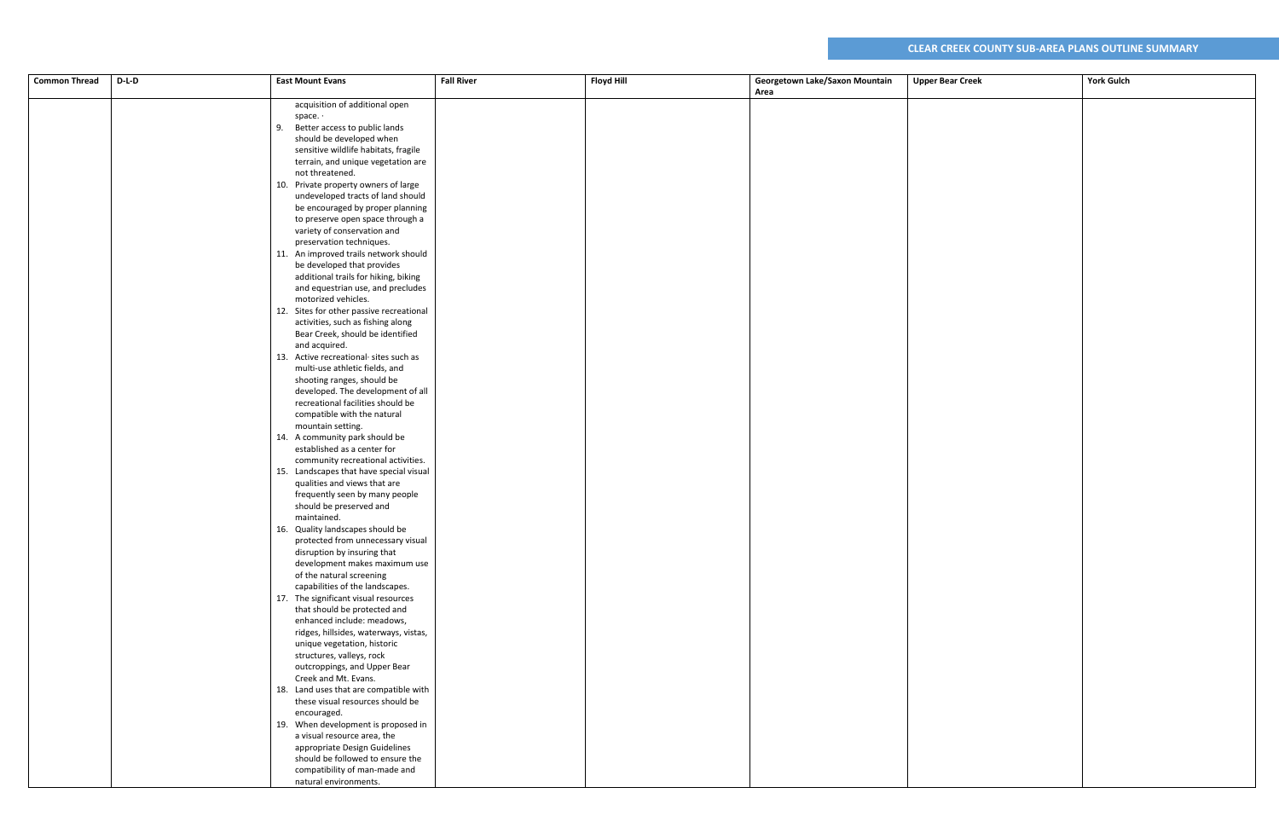| $D-L-D$<br><b>Common Thread</b> | <b>East Mount Evans</b>                                               | <b>Fall River</b> | <b>Floyd Hill</b> | Georgetown Lake/Saxon Mountain | <b>Upper Bear Creek</b> | <b>York Gulch</b> |
|---------------------------------|-----------------------------------------------------------------------|-------------------|-------------------|--------------------------------|-------------------------|-------------------|
|                                 |                                                                       |                   |                   | Area                           |                         |                   |
|                                 | acquisition of additional open                                        |                   |                   |                                |                         |                   |
|                                 | space. $\cdot$                                                        |                   |                   |                                |                         |                   |
|                                 | 9. Better access to public lands                                      |                   |                   |                                |                         |                   |
|                                 | should be developed when                                              |                   |                   |                                |                         |                   |
|                                 | sensitive wildlife habitats, fragile                                  |                   |                   |                                |                         |                   |
|                                 | terrain, and unique vegetation are                                    |                   |                   |                                |                         |                   |
|                                 | not threatened.                                                       |                   |                   |                                |                         |                   |
|                                 | 10. Private property owners of large                                  |                   |                   |                                |                         |                   |
|                                 | undeveloped tracts of land should                                     |                   |                   |                                |                         |                   |
|                                 | be encouraged by proper planning                                      |                   |                   |                                |                         |                   |
|                                 | to preserve open space through a                                      |                   |                   |                                |                         |                   |
|                                 | variety of conservation and                                           |                   |                   |                                |                         |                   |
|                                 | preservation techniques.                                              |                   |                   |                                |                         |                   |
|                                 | 11. An improved trails network should                                 |                   |                   |                                |                         |                   |
|                                 | be developed that provides                                            |                   |                   |                                |                         |                   |
|                                 | additional trails for hiking, biking                                  |                   |                   |                                |                         |                   |
|                                 | and equestrian use, and precludes                                     |                   |                   |                                |                         |                   |
|                                 | motorized vehicles.                                                   |                   |                   |                                |                         |                   |
|                                 | 12. Sites for other passive recreational                              |                   |                   |                                |                         |                   |
|                                 | activities, such as fishing along                                     |                   |                   |                                |                         |                   |
|                                 | Bear Creek, should be identified                                      |                   |                   |                                |                         |                   |
|                                 | and acquired.<br>13. Active recreational sites such as                |                   |                   |                                |                         |                   |
|                                 | multi-use athletic fields, and                                        |                   |                   |                                |                         |                   |
|                                 | shooting ranges, should be                                            |                   |                   |                                |                         |                   |
|                                 | developed. The development of all                                     |                   |                   |                                |                         |                   |
|                                 | recreational facilities should be                                     |                   |                   |                                |                         |                   |
|                                 | compatible with the natural                                           |                   |                   |                                |                         |                   |
|                                 | mountain setting.                                                     |                   |                   |                                |                         |                   |
|                                 | 14. A community park should be                                        |                   |                   |                                |                         |                   |
|                                 | established as a center for                                           |                   |                   |                                |                         |                   |
|                                 | community recreational activities.                                    |                   |                   |                                |                         |                   |
|                                 | 15. Landscapes that have special visual                               |                   |                   |                                |                         |                   |
|                                 | qualities and views that are                                          |                   |                   |                                |                         |                   |
|                                 | frequently seen by many people                                        |                   |                   |                                |                         |                   |
|                                 | should be preserved and                                               |                   |                   |                                |                         |                   |
|                                 | maintained.                                                           |                   |                   |                                |                         |                   |
|                                 | 16. Quality landscapes should be<br>protected from unnecessary visual |                   |                   |                                |                         |                   |
|                                 | disruption by insuring that                                           |                   |                   |                                |                         |                   |
|                                 | development makes maximum use                                         |                   |                   |                                |                         |                   |
|                                 | of the natural screening                                              |                   |                   |                                |                         |                   |
|                                 | capabilities of the landscapes.                                       |                   |                   |                                |                         |                   |
|                                 | 17. The significant visual resources                                  |                   |                   |                                |                         |                   |
|                                 | that should be protected and                                          |                   |                   |                                |                         |                   |
|                                 | enhanced include: meadows,                                            |                   |                   |                                |                         |                   |
|                                 | ridges, hillsides, waterways, vistas,                                 |                   |                   |                                |                         |                   |
|                                 | unique vegetation, historic                                           |                   |                   |                                |                         |                   |
|                                 | structures, valleys, rock                                             |                   |                   |                                |                         |                   |
|                                 | outcroppings, and Upper Bear                                          |                   |                   |                                |                         |                   |
|                                 | Creek and Mt. Evans.                                                  |                   |                   |                                |                         |                   |
|                                 | 18. Land uses that are compatible with                                |                   |                   |                                |                         |                   |
|                                 | these visual resources should be                                      |                   |                   |                                |                         |                   |
|                                 | encouraged.<br>19. When development is proposed in                    |                   |                   |                                |                         |                   |
|                                 | a visual resource area, the                                           |                   |                   |                                |                         |                   |
|                                 | appropriate Design Guidelines                                         |                   |                   |                                |                         |                   |
|                                 | should be followed to ensure the                                      |                   |                   |                                |                         |                   |
|                                 | compatibility of man-made and                                         |                   |                   |                                |                         |                   |
|                                 | natural environments.                                                 |                   |                   |                                |                         |                   |
|                                 |                                                                       |                   |                   |                                |                         |                   |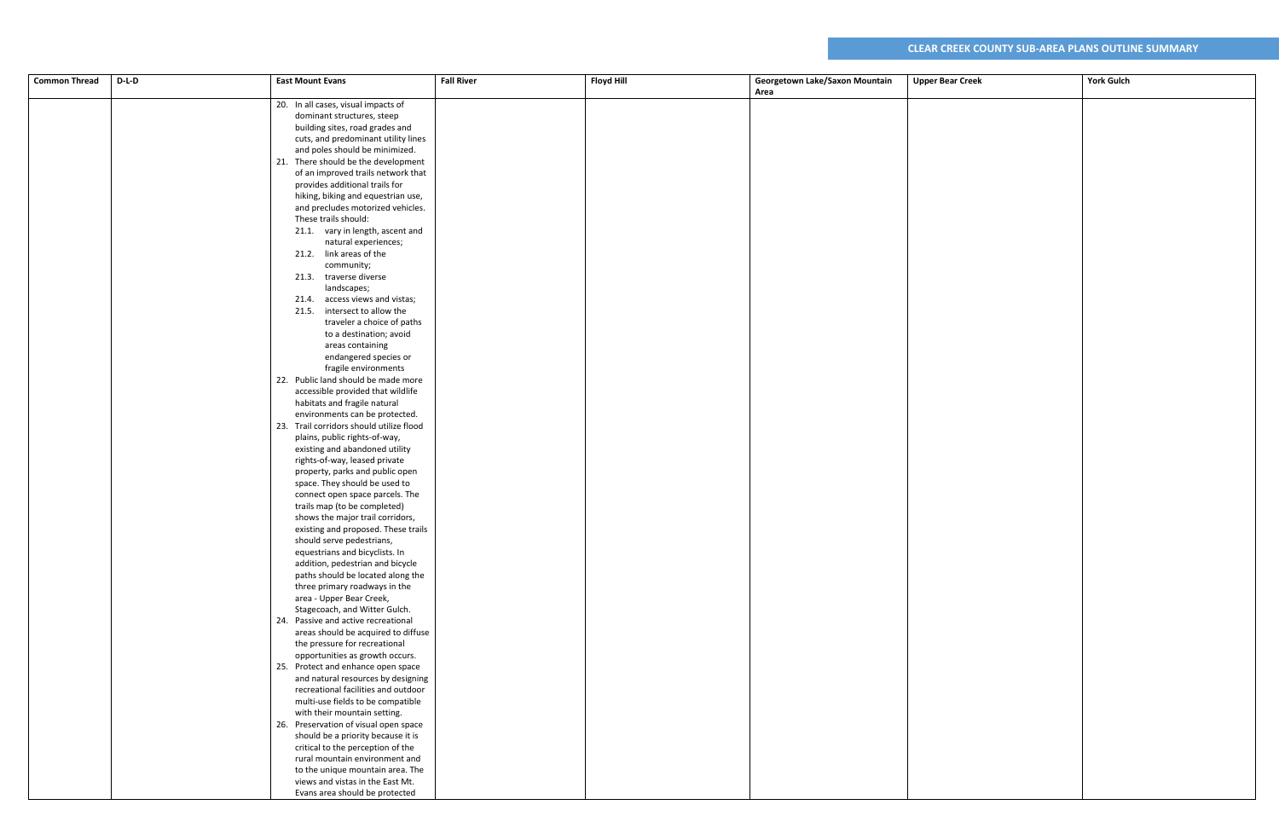| <b>Common Thread</b> | $D-L-D$ | <b>East Mount Evans</b>                                           | <b>Fall River</b> | <b>Floyd Hill</b> | Georgetown Lake/Saxon Mountain | <b>Upper Bear Creek</b> | <b>York Gulch</b> |
|----------------------|---------|-------------------------------------------------------------------|-------------------|-------------------|--------------------------------|-------------------------|-------------------|
|                      |         |                                                                   |                   |                   | Area                           |                         |                   |
|                      |         | 20. In all cases, visual impacts of                               |                   |                   |                                |                         |                   |
|                      |         | dominant structures, steep                                        |                   |                   |                                |                         |                   |
|                      |         | building sites, road grades and                                   |                   |                   |                                |                         |                   |
|                      |         | cuts, and predominant utility lines                               |                   |                   |                                |                         |                   |
|                      |         | and poles should be minimized.                                    |                   |                   |                                |                         |                   |
|                      |         | 21. There should be the development                               |                   |                   |                                |                         |                   |
|                      |         | of an improved trails network that                                |                   |                   |                                |                         |                   |
|                      |         | provides additional trails for                                    |                   |                   |                                |                         |                   |
|                      |         | hiking, biking and equestrian use,                                |                   |                   |                                |                         |                   |
|                      |         | and precludes motorized vehicles.                                 |                   |                   |                                |                         |                   |
|                      |         | These trails should:                                              |                   |                   |                                |                         |                   |
|                      |         | 21.1. vary in length, ascent and                                  |                   |                   |                                |                         |                   |
|                      |         | natural experiences;                                              |                   |                   |                                |                         |                   |
|                      |         | 21.2. link areas of the                                           |                   |                   |                                |                         |                   |
|                      |         | community;                                                        |                   |                   |                                |                         |                   |
|                      |         | 21.3. traverse diverse                                            |                   |                   |                                |                         |                   |
|                      |         | landscapes;                                                       |                   |                   |                                |                         |                   |
|                      |         | 21.4. access views and vistas;                                    |                   |                   |                                |                         |                   |
|                      |         | 21.5. intersect to allow the                                      |                   |                   |                                |                         |                   |
|                      |         | traveler a choice of paths                                        |                   |                   |                                |                         |                   |
|                      |         | to a destination; avoid                                           |                   |                   |                                |                         |                   |
|                      |         | areas containing                                                  |                   |                   |                                |                         |                   |
|                      |         | endangered species or                                             |                   |                   |                                |                         |                   |
|                      |         | fragile environments<br>22. Public land should be made more       |                   |                   |                                |                         |                   |
|                      |         | accessible provided that wildlife                                 |                   |                   |                                |                         |                   |
|                      |         | habitats and fragile natural                                      |                   |                   |                                |                         |                   |
|                      |         | environments can be protected.                                    |                   |                   |                                |                         |                   |
|                      |         | 23. Trail corridors should utilize flood                          |                   |                   |                                |                         |                   |
|                      |         | plains, public rights-of-way,                                     |                   |                   |                                |                         |                   |
|                      |         | existing and abandoned utility                                    |                   |                   |                                |                         |                   |
|                      |         | rights-of-way, leased private                                     |                   |                   |                                |                         |                   |
|                      |         | property, parks and public open                                   |                   |                   |                                |                         |                   |
|                      |         | space. They should be used to                                     |                   |                   |                                |                         |                   |
|                      |         | connect open space parcels. The                                   |                   |                   |                                |                         |                   |
|                      |         | trails map (to be completed)                                      |                   |                   |                                |                         |                   |
|                      |         | shows the major trail corridors,                                  |                   |                   |                                |                         |                   |
|                      |         | existing and proposed. These trails                               |                   |                   |                                |                         |                   |
|                      |         | should serve pedestrians,                                         |                   |                   |                                |                         |                   |
|                      |         | equestrians and bicyclists. In                                    |                   |                   |                                |                         |                   |
|                      |         | addition, pedestrian and bicycle                                  |                   |                   |                                |                         |                   |
|                      |         | paths should be located along the                                 |                   |                   |                                |                         |                   |
|                      |         | three primary roadways in the                                     |                   |                   |                                |                         |                   |
|                      |         | area - Upper Bear Creek,                                          |                   |                   |                                |                         |                   |
|                      |         | Stagecoach, and Witter Gulch.                                     |                   |                   |                                |                         |                   |
|                      |         | 24. Passive and active recreational                               |                   |                   |                                |                         |                   |
|                      |         | areas should be acquired to diffuse                               |                   |                   |                                |                         |                   |
|                      |         | the pressure for recreational                                     |                   |                   |                                |                         |                   |
|                      |         | opportunities as growth occurs.                                   |                   |                   |                                |                         |                   |
|                      |         | 25. Protect and enhance open space                                |                   |                   |                                |                         |                   |
|                      |         | and natural resources by designing                                |                   |                   |                                |                         |                   |
|                      |         | recreational facilities and outdoor                               |                   |                   |                                |                         |                   |
|                      |         | multi-use fields to be compatible<br>with their mountain setting. |                   |                   |                                |                         |                   |
|                      |         | 26. Preservation of visual open space                             |                   |                   |                                |                         |                   |
|                      |         | should be a priority because it is                                |                   |                   |                                |                         |                   |
|                      |         | critical to the perception of the                                 |                   |                   |                                |                         |                   |
|                      |         | rural mountain environment and                                    |                   |                   |                                |                         |                   |
|                      |         | to the unique mountain area. The                                  |                   |                   |                                |                         |                   |
|                      |         | views and vistas in the East Mt.                                  |                   |                   |                                |                         |                   |
|                      |         | Evans area should be protected                                    |                   |                   |                                |                         |                   |
|                      |         |                                                                   |                   |                   |                                |                         |                   |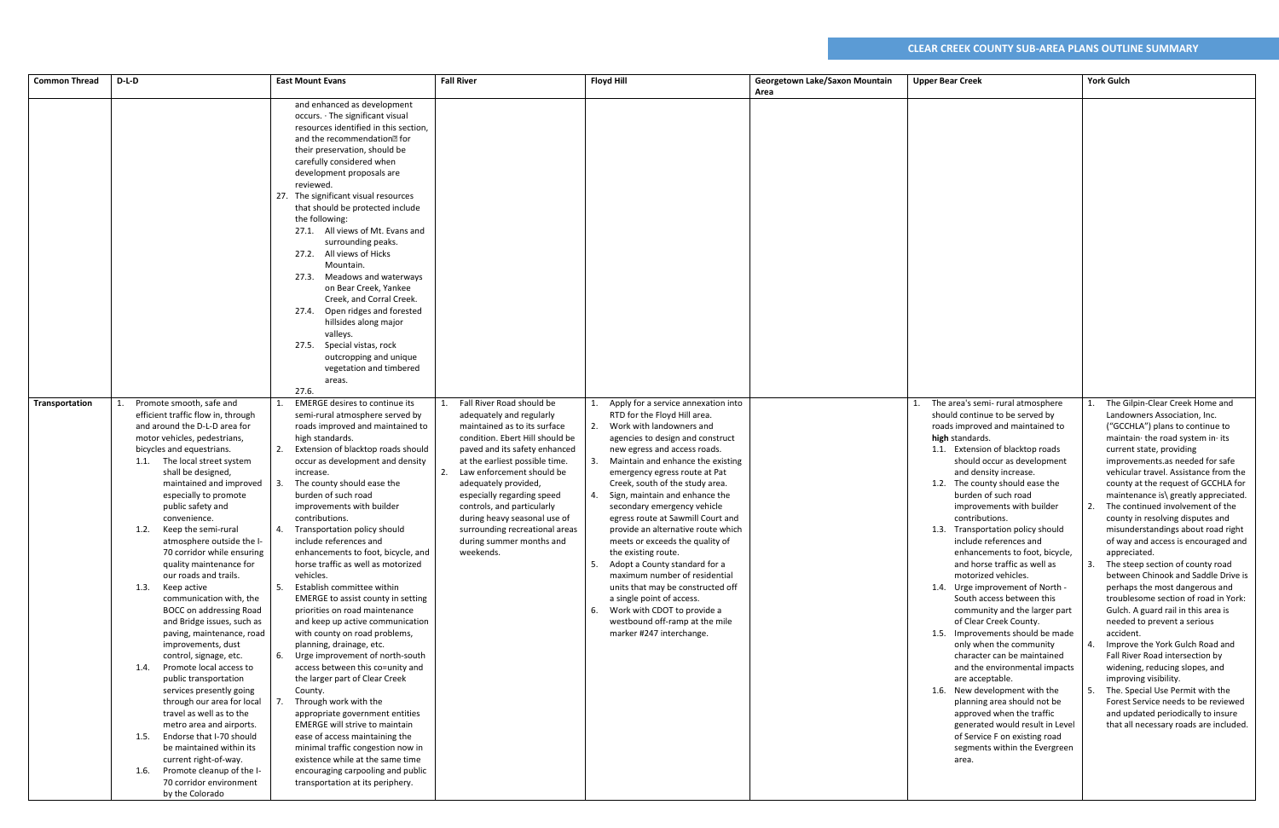| <b>Common Thread</b> | D-L-D                                                                                                                                                                                                                                                                                                                                                                                                                                                                                                                                                                                                                                                                                                                                                                                                                                                                                                                                                                                                   | <b>East Mount Evans</b>                                                                                                                                                                                                                                                                                                                                                                                                                                                                                                                                                                                                                                                                                                                                                                                                                                                                                                                                                                                                                                                                                                | <b>Fall River</b>                                                                                                                                                                                                                                                                                                                                                                                                       | <b>Floyd Hill</b>                                                                                                                                                                                                                                                                                                                                                                                                                                                                                                                                                                                                                                                                                                                        | Georgetown Lake/Saxon Mountain<br>Area | <b>Upper Bear Creek</b>                                                                                                                                                                                                                                                                                                                                                                                                                                                                                                                                                                                                                                                                                                                                                                                                                                                                                                                                                              | <b>York Gulch</b>                                                                                                                                                                                                                                                                                                                                                                                                                                                                                                                                                                                                                                                                                                                                                                                                                                                                                                                                                                                                                                 |
|----------------------|---------------------------------------------------------------------------------------------------------------------------------------------------------------------------------------------------------------------------------------------------------------------------------------------------------------------------------------------------------------------------------------------------------------------------------------------------------------------------------------------------------------------------------------------------------------------------------------------------------------------------------------------------------------------------------------------------------------------------------------------------------------------------------------------------------------------------------------------------------------------------------------------------------------------------------------------------------------------------------------------------------|------------------------------------------------------------------------------------------------------------------------------------------------------------------------------------------------------------------------------------------------------------------------------------------------------------------------------------------------------------------------------------------------------------------------------------------------------------------------------------------------------------------------------------------------------------------------------------------------------------------------------------------------------------------------------------------------------------------------------------------------------------------------------------------------------------------------------------------------------------------------------------------------------------------------------------------------------------------------------------------------------------------------------------------------------------------------------------------------------------------------|-------------------------------------------------------------------------------------------------------------------------------------------------------------------------------------------------------------------------------------------------------------------------------------------------------------------------------------------------------------------------------------------------------------------------|------------------------------------------------------------------------------------------------------------------------------------------------------------------------------------------------------------------------------------------------------------------------------------------------------------------------------------------------------------------------------------------------------------------------------------------------------------------------------------------------------------------------------------------------------------------------------------------------------------------------------------------------------------------------------------------------------------------------------------------|----------------------------------------|--------------------------------------------------------------------------------------------------------------------------------------------------------------------------------------------------------------------------------------------------------------------------------------------------------------------------------------------------------------------------------------------------------------------------------------------------------------------------------------------------------------------------------------------------------------------------------------------------------------------------------------------------------------------------------------------------------------------------------------------------------------------------------------------------------------------------------------------------------------------------------------------------------------------------------------------------------------------------------------|---------------------------------------------------------------------------------------------------------------------------------------------------------------------------------------------------------------------------------------------------------------------------------------------------------------------------------------------------------------------------------------------------------------------------------------------------------------------------------------------------------------------------------------------------------------------------------------------------------------------------------------------------------------------------------------------------------------------------------------------------------------------------------------------------------------------------------------------------------------------------------------------------------------------------------------------------------------------------------------------------------------------------------------------------|
|                      |                                                                                                                                                                                                                                                                                                                                                                                                                                                                                                                                                                                                                                                                                                                                                                                                                                                                                                                                                                                                         | and enhanced as development<br>occurs. · The significant visual<br>resources identified in this section,<br>and the recommendation <sup>®</sup> for<br>their preservation, should be<br>carefully considered when<br>development proposals are<br>reviewed.<br>27. The significant visual resources<br>that should be protected include<br>the following:<br>27.1. All views of Mt. Evans and<br>surrounding peaks.<br>27.2. All views of Hicks<br>Mountain.<br>27.3. Meadows and waterways<br>on Bear Creek, Yankee<br>Creek, and Corral Creek.<br>27.4. Open ridges and forested<br>hillsides along major<br>valleys.<br>27.5. Special vistas, rock<br>outcropping and unique<br>vegetation and timbered<br>areas.                                                                                                                                                                                                                                                                                                                                                                                                   |                                                                                                                                                                                                                                                                                                                                                                                                                         |                                                                                                                                                                                                                                                                                                                                                                                                                                                                                                                                                                                                                                                                                                                                          |                                        |                                                                                                                                                                                                                                                                                                                                                                                                                                                                                                                                                                                                                                                                                                                                                                                                                                                                                                                                                                                      |                                                                                                                                                                                                                                                                                                                                                                                                                                                                                                                                                                                                                                                                                                                                                                                                                                                                                                                                                                                                                                                   |
| Transportation       | Promote smooth, safe and<br>efficient traffic flow in, through<br>and around the D-L-D area for<br>motor vehicles, pedestrians,<br>bicycles and equestrians.<br>1.1. The local street system<br>shall be designed<br>maintained and improved<br>especially to promote<br>public safety and<br>convenience.<br>Keep the semi-rural<br>1.2.<br>atmosphere outside the I-<br>70 corridor while ensuring<br>quality maintenance for<br>our roads and trails.<br>1.3.<br>Keep active<br>communication with, the<br>BOCC on addressing Road<br>and Bridge issues, such as<br>paving, maintenance, road<br>improvements, dust<br>control, signage, etc.<br>Promote local access to<br>1.4.<br>public transportation<br>services presently going<br>through our area for local<br>travel as well as to the<br>metro area and airports.<br>1.5. Endorse that I-70 should<br>be maintained within its<br>current right-of-way.<br>Promote cleanup of the I-<br>1.6.<br>70 corridor environment<br>by the Colorado | 27.6.<br><b>EMERGE desires to continue its</b><br>semi-rural atmosphere served by<br>roads improved and maintained to<br>high standards.<br>2. Extension of blacktop roads should<br>occur as development and density<br>increase.<br>The county should ease the<br>burden of such road<br>improvements with builder<br>contributions.<br>4. Transportation policy should<br>include references and<br>enhancements to foot, bicycle, and<br>horse traffic as well as motorized<br>vehicles.<br>5. Establish committee within<br>EMERGE to assist county in setting<br>priorities on road maintenance<br>and keep up active communication<br>with county on road problems,<br>planning, drainage, etc.<br>6. Urge improvement of north-south<br>access between this co=unity and<br>the larger part of Clear Creek<br>County.<br>Through work with the<br>appropriate government entities<br><b>EMERGE will strive to maintain</b><br>ease of access maintaining the<br>minimal traffic congestion now in<br>existence while at the same time<br>encouraging carpooling and public<br>transportation at its periphery. | Fall River Road should be<br>adequately and regularly<br>maintained as to its surface<br>condition. Ebert Hill should be<br>paved and its safety enhanced<br>at the earliest possible time.<br>Law enforcement should be<br>adequately provided,<br>especially regarding speed<br>controls, and particularly<br>during heavy seasonal use of<br>surrounding recreational areas<br>during summer months and<br>weekends. | Apply for a service annexation into<br>RTD for the Floyd Hill area.<br>Work with landowners and<br>2.<br>agencies to design and construct<br>new egress and access roads.<br>Maintain and enhance the existing<br>emergency egress route at Pat<br>Creek, south of the study area.<br>Sign, maintain and enhance the<br>4.<br>secondary emergency vehicle<br>egress route at Sawmill Court and<br>provide an alternative route which<br>meets or exceeds the quality of<br>the existing route.<br>Adopt a County standard for a<br>5.<br>maximum number of residential<br>units that may be constructed off<br>a single point of access.<br>6. Work with CDOT to provide a<br>westbound off-ramp at the mile<br>marker #247 interchange. |                                        | 1. The area's semi- rural atmosphere<br>should continue to be served by<br>roads improved and maintained to<br>high standards.<br>1.1. Extension of blacktop roads<br>should occur as development<br>and density increase.<br>1.2. The county should ease the<br>burden of such road<br>improvements with builder<br>contributions.<br>1.3. Transportation policy should<br>include references and<br>enhancements to foot, bicycle,<br>and horse traffic as well as<br>motorized vehicles.<br>1.4. Urge improvement of North -<br>South access between this<br>community and the larger part<br>of Clear Creek County.<br>1.5. Improvements should be made<br>only when the community<br>character can be maintained<br>and the environmental impacts<br>are acceptable.<br>1.6. New development with the<br>planning area should not be<br>approved when the traffic<br>generated would result in Level<br>of Service F on existing road<br>segments within the Evergreen<br>area. | The Gilpin-Clear Creek Home and<br>Landowners Association, Inc.<br>("GCCHLA") plans to continue to<br>maintain the road system in its<br>current state, providing<br>improvements.as needed for safe<br>vehicular travel. Assistance from the<br>county at the request of GCCHLA for<br>maintenance is\ greatly appreciated.<br>The continued involvement of the<br>2.<br>county in resolving disputes and<br>misunderstandings about road right<br>of way and access is encouraged and<br>appreciated.<br>The steep section of county road<br>3.<br>between Chinook and Saddle Drive is<br>perhaps the most dangerous and<br>troublesome section of road in York:<br>Gulch. A guard rail in this area is<br>needed to prevent a serious<br>accident.<br>Improve the York Gulch Road and<br>Fall River Road intersection by<br>widening, reducing slopes, and<br>improving visibility.<br>The. Special Use Permit with the<br>Forest Service needs to be reviewed<br>and updated periodically to insure<br>that all necessary roads are included. |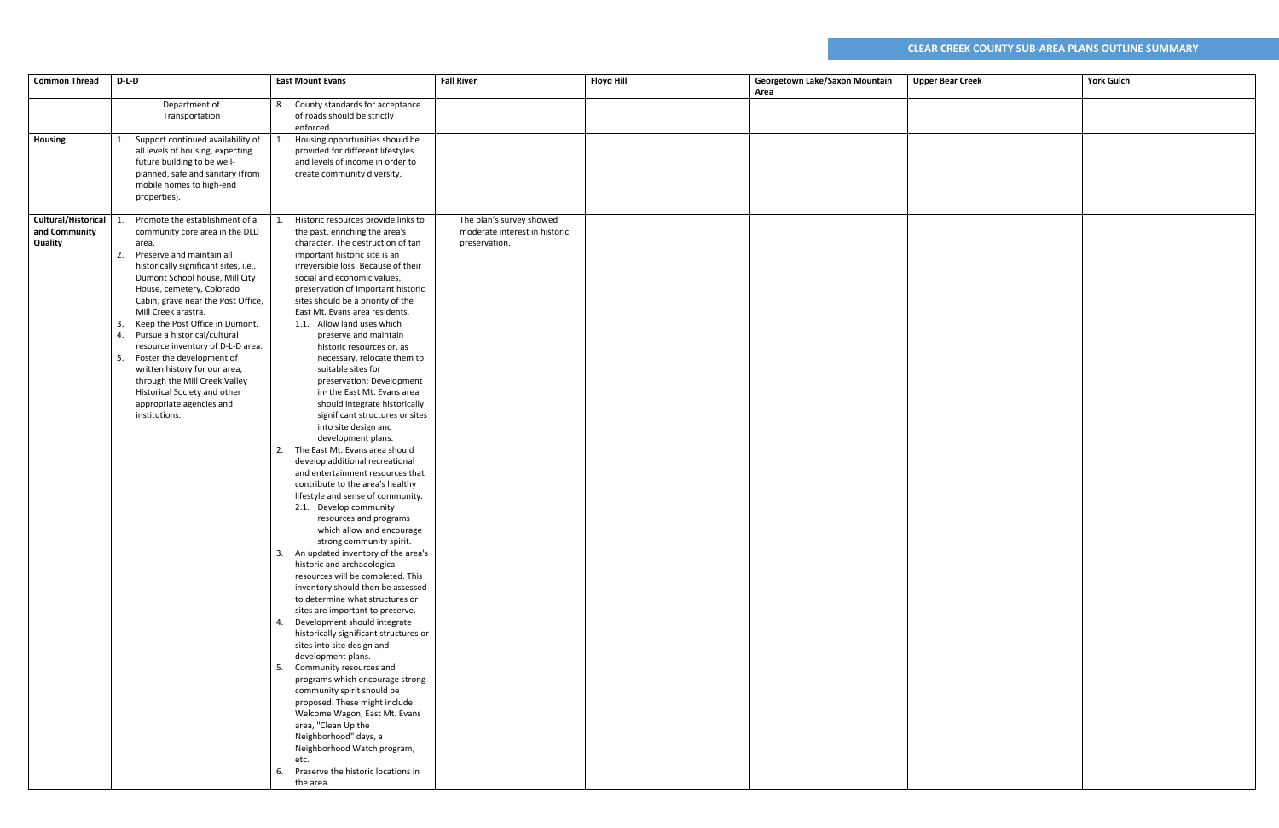| <b>Common Thread</b>                            | $D-L-D$                                                                                                                                                                                                                                                                                                                                                                                                                                                                                                                                                                                 | <b>East Mount Evans</b>                                                                                                                                                                                                                                                                                                                                                                                                                                                                                                                                                                                                                                                                                                                                                                                                                                                                                                                                                                                                                                                                                                                                                                                                                                                                                                                                                                                                                                                                                                                                                                                               | <b>Fall River</b>                                                          | <b>Floyd Hill</b> | Georgetown Lake/Saxon Mountain<br>Area | <b>Upper Bear Creek</b> | <b>York Gulch</b> |
|-------------------------------------------------|-----------------------------------------------------------------------------------------------------------------------------------------------------------------------------------------------------------------------------------------------------------------------------------------------------------------------------------------------------------------------------------------------------------------------------------------------------------------------------------------------------------------------------------------------------------------------------------------|-----------------------------------------------------------------------------------------------------------------------------------------------------------------------------------------------------------------------------------------------------------------------------------------------------------------------------------------------------------------------------------------------------------------------------------------------------------------------------------------------------------------------------------------------------------------------------------------------------------------------------------------------------------------------------------------------------------------------------------------------------------------------------------------------------------------------------------------------------------------------------------------------------------------------------------------------------------------------------------------------------------------------------------------------------------------------------------------------------------------------------------------------------------------------------------------------------------------------------------------------------------------------------------------------------------------------------------------------------------------------------------------------------------------------------------------------------------------------------------------------------------------------------------------------------------------------------------------------------------------------|----------------------------------------------------------------------------|-------------------|----------------------------------------|-------------------------|-------------------|
|                                                 | Department of<br>Transportation                                                                                                                                                                                                                                                                                                                                                                                                                                                                                                                                                         | 8. County standards for acceptance<br>of roads should be strictly<br>enforced.                                                                                                                                                                                                                                                                                                                                                                                                                                                                                                                                                                                                                                                                                                                                                                                                                                                                                                                                                                                                                                                                                                                                                                                                                                                                                                                                                                                                                                                                                                                                        |                                                                            |                   |                                        |                         |                   |
| Housing                                         | Support continued availability of<br>all levels of housing, expecting<br>future building to be well-<br>planned, safe and sanitary (from<br>mobile homes to high-end<br>properties).                                                                                                                                                                                                                                                                                                                                                                                                    | Housing opportunities should be<br>provided for different lifestyles<br>and levels of income in order to<br>create community diversity.                                                                                                                                                                                                                                                                                                                                                                                                                                                                                                                                                                                                                                                                                                                                                                                                                                                                                                                                                                                                                                                                                                                                                                                                                                                                                                                                                                                                                                                                               |                                                                            |                   |                                        |                         |                   |
| Cultural/Historical<br>and Community<br>Quality | Promote the establishment of a<br>community core area in the DLD<br>area.<br>Preserve and maintain all<br>2.<br>historically significant sites, i.e.,<br>Dumont School house, Mill City<br>House, cemetery, Colorado<br>Cabin, grave near the Post Office,<br>Mill Creek arastra.<br>Keep the Post Office in Dumont.<br>3.<br>Pursue a historical/cultural<br>4.<br>resource inventory of D-L-D area.<br>Foster the development of<br>5.<br>written history for our area,<br>through the Mill Creek Valley<br>Historical Society and other<br>appropriate agencies and<br>institutions. | Historic resources provide links to<br>the past, enriching the area's<br>character. The destruction of tan<br>important historic site is an<br>irreversible loss. Because of their<br>social and economic values,<br>preservation of important historic<br>sites should be a priority of the<br>East Mt. Evans area residents.<br>1.1. Allow land uses which<br>preserve and maintain<br>historic resources or, as<br>necessary, relocate them to<br>suitable sites for<br>preservation: Development<br>in the East Mt. Evans area<br>should integrate historically<br>significant structures or sites<br>into site design and<br>development plans.<br>The East Mt. Evans area should<br>2.<br>develop additional recreational<br>and entertainment resources that<br>contribute to the area's healthy<br>lifestyle and sense of community.<br>2.1. Develop community<br>resources and programs<br>which allow and encourage<br>strong community spirit.<br>3. An updated inventory of the area's<br>historic and archaeological<br>resources will be completed. This<br>inventory should then be assessed<br>to determine what structures or<br>sites are important to preserve.<br>4. Development should integrate<br>historically significant structures or<br>sites into site design and<br>development plans.<br>5. Community resources and<br>programs which encourage strong<br>community spirit should be<br>proposed. These might include:<br>Welcome Wagon, East Mt. Evans<br>area, "Clean Up the<br>Neighborhood" days, a<br>Neighborhood Watch program,<br>etc.<br>6. Preserve the historic locations in | The plan's survey showed<br>moderate interest in historic<br>preservation. |                   |                                        |                         |                   |
|                                                 |                                                                                                                                                                                                                                                                                                                                                                                                                                                                                                                                                                                         | the area.                                                                                                                                                                                                                                                                                                                                                                                                                                                                                                                                                                                                                                                                                                                                                                                                                                                                                                                                                                                                                                                                                                                                                                                                                                                                                                                                                                                                                                                                                                                                                                                                             |                                                                            |                   |                                        |                         |                   |